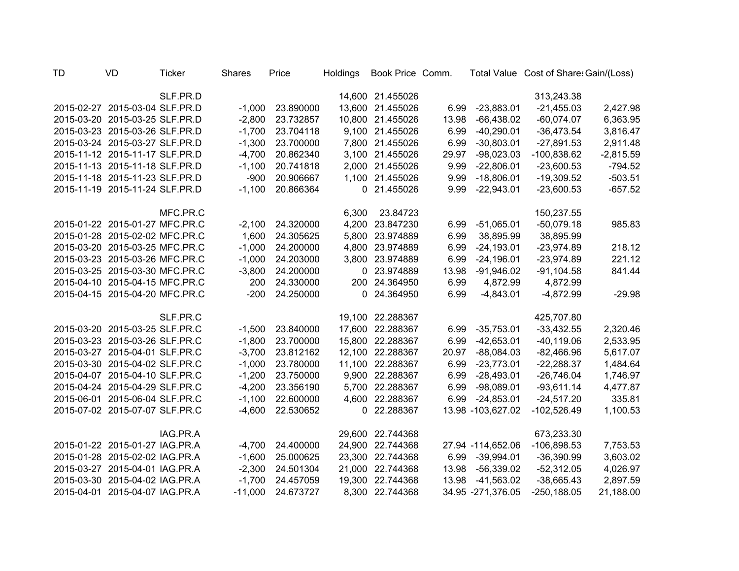| TD | VD                             | <b>Ticker</b> | <b>Shares</b> | Price     | Holdings | Book Price Comm. |       |                    | Total Value Cost of Share: Gain/(Loss) |             |
|----|--------------------------------|---------------|---------------|-----------|----------|------------------|-------|--------------------|----------------------------------------|-------------|
|    |                                | SLF.PR.D      |               |           |          | 14,600 21.455026 |       |                    | 313,243.38                             |             |
|    | 2015-02-27 2015-03-04 SLF.PR.D |               | $-1,000$      | 23.890000 |          | 13,600 21.455026 | 6.99  | $-23,883.01$       | $-21,455.03$                           | 2,427.98    |
|    | 2015-03-20 2015-03-25 SLF.PR.D |               | $-2,800$      | 23.732857 |          | 10,800 21.455026 | 13.98 | $-66,438.02$       | $-60,074.07$                           | 6,363.95    |
|    | 2015-03-23 2015-03-26 SLF.PR.D |               | $-1,700$      | 23.704118 |          | 9,100 21.455026  | 6.99  | $-40,290.01$       | $-36,473.54$                           | 3,816.47    |
|    | 2015-03-24 2015-03-27 SLF.PR.D |               | $-1,300$      | 23.700000 |          | 7,800 21.455026  | 6.99  | $-30,803.01$       | $-27,891.53$                           | 2,911.48    |
|    | 2015-11-12 2015-11-17 SLF.PR.D |               | $-4,700$      | 20.862340 |          | 3,100 21.455026  | 29.97 | $-98,023.03$       | $-100,838.62$                          | $-2,815.59$ |
|    | 2015-11-13 2015-11-18 SLF.PR.D |               | $-1,100$      | 20.741818 |          | 2,000 21.455026  | 9.99  | $-22,806.01$       | $-23,600.53$                           | $-794.52$   |
|    | 2015-11-18 2015-11-23 SLF.PR.D |               | $-900$        | 20.906667 |          | 1,100 21.455026  | 9.99  | $-18,806.01$       | $-19,309.52$                           | $-503.51$   |
|    | 2015-11-19 2015-11-24 SLF.PR.D |               | $-1,100$      | 20.866364 |          | 0 21.455026      | 9.99  | $-22,943.01$       | $-23,600.53$                           | $-657.52$   |
|    |                                | MFC.PR.C      |               |           | 6,300    | 23.84723         |       |                    | 150,237.55                             |             |
|    | 2015-01-22 2015-01-27 MFC.PR.C |               | $-2,100$      | 24.320000 |          | 4,200 23.847230  | 6.99  | $-51,065.01$       | $-50,079.18$                           | 985.83      |
|    | 2015-01-28 2015-02-02 MFC.PR.C |               | 1,600         | 24.305625 |          | 5,800 23.974889  | 6.99  | 38,895.99          | 38,895.99                              |             |
|    | 2015-03-20 2015-03-25 MFC.PR.C |               | $-1,000$      | 24.200000 | 4,800    | 23.974889        | 6.99  | $-24,193.01$       | $-23,974.89$                           | 218.12      |
|    | 2015-03-23 2015-03-26 MFC.PR.C |               | $-1,000$      | 24.203000 |          | 3,800 23.974889  | 6.99  | $-24,196.01$       | $-23,974.89$                           | 221.12      |
|    | 2015-03-25 2015-03-30 MFC.PR.C |               | $-3,800$      | 24.200000 |          | 0 23.974889      | 13.98 | $-91,946.02$       | $-91,104.58$                           | 841.44      |
|    | 2015-04-10 2015-04-15 MFC.PR.C |               | 200           | 24.330000 |          | 200 24.364950    | 6.99  | 4,872.99           | 4,872.99                               |             |
|    | 2015-04-15 2015-04-20 MFC.PR.C |               | $-200$        | 24.250000 |          | 0 24.364950      | 6.99  | $-4,843.01$        | $-4,872.99$                            | $-29.98$    |
|    |                                | SLF.PR.C      |               |           |          | 19,100 22.288367 |       |                    | 425,707.80                             |             |
|    | 2015-03-20 2015-03-25 SLF.PR.C |               | $-1,500$      | 23.840000 |          | 17,600 22.288367 | 6.99  | $-35,753.01$       | $-33,432.55$                           | 2,320.46    |
|    | 2015-03-23 2015-03-26 SLF.PR.C |               | $-1,800$      | 23.700000 |          | 15,800 22.288367 | 6.99  | $-42,653.01$       | $-40,119.06$                           | 2,533.95    |
|    | 2015-03-27 2015-04-01 SLF.PR.C |               | $-3,700$      | 23.812162 |          | 12,100 22.288367 | 20.97 | $-88,084.03$       | $-82,466.96$                           | 5,617.07    |
|    | 2015-03-30 2015-04-02 SLF.PR.C |               | $-1,000$      | 23.780000 |          | 11,100 22.288367 | 6.99  | $-23,773.01$       | $-22,288.37$                           | 1,484.64    |
|    | 2015-04-07 2015-04-10 SLF.PR.C |               | $-1,200$      | 23.750000 |          | 9,900 22.288367  | 6.99  | $-28,493.01$       | $-26,746.04$                           | 1,746.97    |
|    | 2015-04-24 2015-04-29 SLF.PR.C |               | $-4,200$      | 23.356190 |          | 5,700 22.288367  | 6.99  | $-98,089.01$       | $-93,611.14$                           | 4,477.87    |
|    | 2015-06-01 2015-06-04 SLF.PR.C |               | $-1,100$      | 22.600000 |          | 4,600 22.288367  | 6.99  | $-24,853.01$       | $-24,517.20$                           | 335.81      |
|    | 2015-07-02 2015-07-07 SLF.PR.C |               | $-4,600$      | 22.530652 |          | 0 22.288367      |       | 13.98 - 103,627.02 | $-102,526.49$                          | 1,100.53    |
|    |                                | IAG.PR.A      |               |           |          | 29,600 22.744368 |       |                    | 673,233.30                             |             |
|    | 2015-01-22 2015-01-27 IAG.PR.A |               | $-4,700$      | 24.400000 | 24,900   | 22.744368        |       | 27.94 -114,652.06  | $-106,898.53$                          | 7,753.53    |
|    | 2015-01-28 2015-02-02 IAG.PR.A |               | $-1,600$      | 25.000625 | 23,300   | 22.744368        | 6.99  | $-39,994.01$       | $-36,390.99$                           | 3,603.02    |
|    | 2015-03-27 2015-04-01 IAG.PR.A |               | $-2,300$      | 24.501304 | 21,000   | 22.744368        | 13.98 | $-56,339.02$       | $-52,312.05$                           | 4,026.97    |
|    | 2015-03-30 2015-04-02 IAG.PR.A |               | $-1,700$      | 24.457059 | 19,300   | 22.744368        | 13.98 | $-41,563.02$       | $-38,665.43$                           | 2,897.59    |
|    | 2015-04-01 2015-04-07 IAG.PR.A |               | $-11,000$     | 24.673727 | 8,300    | 22.744368        |       | 34.95 -271,376.05  | $-250, 188.05$                         | 21,188.00   |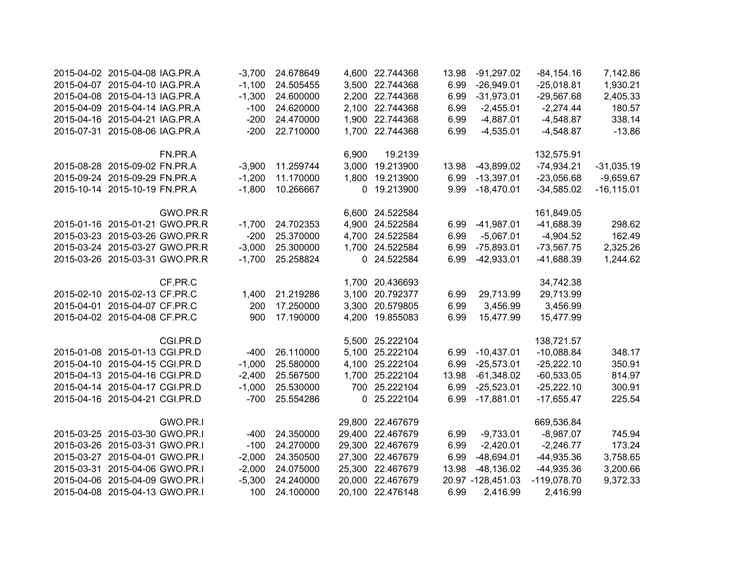| 2015-04-02 2015-04-08 IAG.PR.A |                                | $-3,700$ | 24.678649 |       | 4,600 22.744368  | 13.98 | $-91,297.02$        | $-84, 154.16$ | 7,142.86      |
|--------------------------------|--------------------------------|----------|-----------|-------|------------------|-------|---------------------|---------------|---------------|
| 2015-04-07 2015-04-10 IAG.PR.A |                                | $-1,100$ | 24.505455 |       | 3,500 22.744368  | 6.99  | $-26,949.01$        | $-25,018.81$  | 1,930.21      |
| 2015-04-08 2015-04-13 IAG.PR.A |                                | $-1,300$ | 24.600000 |       | 2,200 22.744368  | 6.99  | $-31,973.01$        | $-29,567.68$  | 2,405.33      |
| 2015-04-09 2015-04-14 IAG.PR.A |                                | $-100$   | 24.620000 |       | 2,100 22.744368  | 6.99  | $-2,455.01$         | $-2,274.44$   | 180.57        |
| 2015-04-16 2015-04-21 IAG.PR.A |                                | $-200$   | 24.470000 |       | 1,900 22.744368  | 6.99  | $-4,887.01$         | $-4,548.87$   | 338.14        |
| 2015-07-31 2015-08-06 IAG.PR.A |                                | $-200$   | 22.710000 |       | 1,700 22.744368  | 6.99  | $-4,535.01$         | $-4,548.87$   | $-13.86$      |
|                                | FN.PR.A                        |          |           | 6,900 | 19.2139          |       |                     | 132,575.91    |               |
| 2015-08-28 2015-09-02 FN.PR.A  |                                | $-3,900$ | 11.259744 |       | 3,000 19.213900  | 13.98 | $-43,899.02$        | $-74,934.21$  | $-31,035.19$  |
| 2015-09-24 2015-09-29 FN.PR.A  |                                | $-1,200$ | 11.170000 |       | 1,800 19.213900  | 6.99  | $-13,397.01$        | $-23,056.68$  | $-9,659.67$   |
| 2015-10-14 2015-10-19 FN.PR.A  |                                | $-1,800$ | 10.266667 |       | 0 19.213900      | 9.99  | $-18,470.01$        | $-34,585.02$  | $-16, 115.01$ |
|                                | GWO.PR.R                       |          |           |       | 6,600 24.522584  |       |                     | 161,849.05    |               |
|                                | 2015-01-16 2015-01-21 GWO.PR.R | $-1,700$ | 24.702353 |       | 4,900 24.522584  | 6.99  | $-41,987.01$        | $-41,688.39$  | 298.62        |
|                                | 2015-03-23 2015-03-26 GWO.PR.R | $-200$   | 25.370000 |       | 4,700 24.522584  | 6.99  | $-5,067.01$         | $-4,904.52$   | 162.49        |
|                                | 2015-03-24 2015-03-27 GWO.PR.R | $-3,000$ | 25.300000 |       | 1,700 24.522584  | 6.99  | $-75,893.01$        | $-73,567.75$  | 2,325.26      |
|                                | 2015-03-26 2015-03-31 GWO.PR.R | $-1,700$ | 25.258824 |       | 0 24.522584      | 6.99  | $-42,933.01$        | $-41,688.39$  | 1,244.62      |
|                                | CF.PR.C                        |          |           |       | 1,700 20.436693  |       |                     | 34,742.38     |               |
| 2015-02-10 2015-02-13 CF.PR.C  |                                | 1,400    | 21.219286 | 3,100 | 20.792377        | 6.99  | 29,713.99           | 29,713.99     |               |
| 2015-04-01 2015-04-07 CF.PR.C  |                                | 200      | 17.250000 | 3,300 | 20.579805        | 6.99  | 3,456.99            | 3,456.99      |               |
| 2015-04-02 2015-04-08 CF.PR.C  |                                | 900      | 17.190000 |       | 4,200 19.855083  | 6.99  | 15,477.99           | 15,477.99     |               |
|                                | CGI.PR.D                       |          |           |       | 5,500 25.222104  |       |                     | 138,721.57    |               |
| 2015-01-08 2015-01-13 CGI.PR.D |                                | $-400$   | 26.110000 | 5,100 | 25.222104        | 6.99  | $-10,437.01$        | $-10,088.84$  | 348.17        |
| 2015-04-10 2015-04-15 CGI.PR.D |                                | $-1,000$ | 25.580000 |       | 4,100 25.222104  | 6.99  | $-25,573.01$        | $-25,222.10$  | 350.91        |
| 2015-04-13 2015-04-16 CGI.PR.D |                                | $-2,400$ | 25.567500 | 1,700 | 25.222104        | 13.98 | $-61,348.02$        | $-60,533.05$  | 814.97        |
| 2015-04-14 2015-04-17 CGI.PR.D |                                | $-1,000$ | 25.530000 |       | 700 25.222104    | 6.99  | $-25,523.01$        | $-25,222.10$  | 300.91        |
| 2015-04-16 2015-04-21 CGI.PR.D |                                | $-700$   | 25.554286 |       | 0 25.222104      | 6.99  | $-17,881.01$        | $-17,655.47$  | 225.54        |
|                                | GWO.PR.I                       |          |           |       | 29,800 22.467679 |       |                     | 669,536.84    |               |
| 2015-03-25 2015-03-30 GWO.PR.I |                                | $-400$   | 24.350000 |       | 29,400 22.467679 | 6.99  | $-9,733.01$         | $-8,987.07$   | 745.94        |
| 2015-03-26 2015-03-31 GWO.PR.I |                                | $-100$   | 24.270000 |       | 29,300 22.467679 | 6.99  | $-2,420.01$         | $-2,246.77$   | 173.24        |
| 2015-03-27 2015-04-01 GWO.PR.I |                                | $-2,000$ | 24.350500 |       | 27,300 22.467679 | 6.99  | $-48,694.01$        | $-44,935.36$  | 3,758.65      |
| 2015-03-31 2015-04-06 GWO.PR.I |                                | $-2,000$ | 24.075000 |       | 25,300 22.467679 | 13.98 | $-48,136.02$        | -44,935.36    | 3,200.66      |
| 2015-04-06 2015-04-09 GWO.PR.I |                                | $-5,300$ | 24.240000 |       | 20,000 22.467679 |       | 20.97 - 128, 451.03 | $-119,078.70$ | 9,372.33      |
| 2015-04-08 2015-04-13 GWO.PR.I |                                | 100      | 24.100000 |       | 20,100 22.476148 | 6.99  | 2,416.99            | 2,416.99      |               |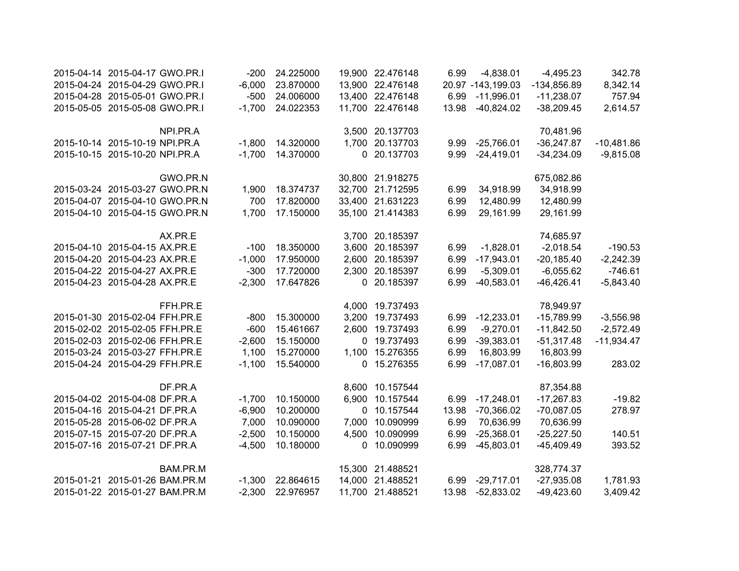| 2015-04-14 2015-04-17 GWO.PR.I |          | -200     | 24.225000 |             | 19,900 22.476148 | 6.99  | $-4,838.01$       | $-4,495.23$   | 342.78       |
|--------------------------------|----------|----------|-----------|-------------|------------------|-------|-------------------|---------------|--------------|
| 2015-04-24 2015-04-29 GWO.PR.I |          | $-6,000$ | 23.870000 |             | 13,900 22.476148 |       | 20.97 -143,199.03 | $-134,856.89$ | 8,342.14     |
| 2015-04-28 2015-05-01 GWO.PR.I |          | $-500$   | 24.006000 |             | 13,400 22.476148 | 6.99  | $-11,996.01$      | $-11,238.07$  | 757.94       |
| 2015-05-05 2015-05-08 GWO.PR.I |          | $-1,700$ | 24.022353 |             | 11,700 22.476148 | 13.98 | $-40,824.02$      | $-38,209.45$  | 2,614.57     |
|                                | NPI.PR.A |          |           |             | 3,500 20.137703  |       |                   | 70,481.96     |              |
| 2015-10-14 2015-10-19 NPI.PR.A |          | $-1,800$ | 14.320000 |             | 1,700 20.137703  | 9.99  | $-25,766.01$      | $-36,247.87$  | $-10,481.86$ |
| 2015-10-15 2015-10-20 NPI.PR.A |          | $-1,700$ | 14.370000 |             | 0 20.137703      | 9.99  | $-24,419.01$      | $-34,234.09$  | $-9,815.08$  |
|                                | GWO.PR.N |          |           |             | 30,800 21.918275 |       |                   | 675,082.86    |              |
| 2015-03-24 2015-03-27 GWO.PR.N |          | 1,900    | 18.374737 |             | 32,700 21.712595 | 6.99  | 34,918.99         | 34,918.99     |              |
| 2015-04-07 2015-04-10 GWO.PR.N |          | 700      | 17.820000 |             | 33,400 21.631223 | 6.99  | 12,480.99         | 12,480.99     |              |
| 2015-04-10 2015-04-15 GWO.PR.N |          | 1,700    | 17.150000 |             | 35,100 21.414383 | 6.99  | 29,161.99         | 29,161.99     |              |
|                                | AX.PR.E  |          |           |             | 3,700 20.185397  |       |                   | 74,685.97     |              |
| 2015-04-10 2015-04-15 AX.PR.E  |          | $-100$   | 18.350000 | 3,600       | 20.185397        | 6.99  | $-1,828.01$       | $-2,018.54$   | $-190.53$    |
| 2015-04-20 2015-04-23 AX.PR.E  |          | $-1,000$ | 17.950000 | 2,600       | 20.185397        | 6.99  | $-17,943.01$      | $-20,185.40$  | $-2,242.39$  |
| 2015-04-22 2015-04-27 AX.PR.E  |          | $-300$   | 17.720000 | 2,300       | 20.185397        | 6.99  | $-5,309.01$       | $-6,055.62$   | $-746.61$    |
| 2015-04-23 2015-04-28 AX.PR.E  |          | $-2,300$ | 17.647826 |             | 0 20.185397      | 6.99  | $-40,583.01$      | $-46,426.41$  | $-5,843.40$  |
|                                | FFH.PR.E |          |           |             | 4,000 19.737493  |       |                   | 78,949.97     |              |
| 2015-01-30 2015-02-04 FFH.PR.E |          | $-800$   | 15.300000 | 3,200       | 19.737493        | 6.99  | $-12,233.01$      | $-15,789.99$  | $-3,556.98$  |
| 2015-02-02 2015-02-05 FFH.PR.E |          | $-600$   | 15.461667 | 2,600       | 19.737493        | 6.99  | $-9,270.01$       | $-11,842.50$  | $-2,572.49$  |
| 2015-02-03 2015-02-06 FFH.PR.E |          | $-2,600$ | 15.150000 | $\mathbf 0$ | 19.737493        | 6.99  | $-39,383.01$      | $-51,317.48$  | $-11,934.47$ |
| 2015-03-24 2015-03-27 FFH.PR.E |          | 1,100    | 15.270000 |             | 1,100 15.276355  | 6.99  | 16,803.99         | 16,803.99     |              |
| 2015-04-24 2015-04-29 FFH.PR.E |          | $-1,100$ | 15.540000 |             | 0 15.276355      | 6.99  | $-17,087.01$      | $-16,803.99$  | 283.02       |
|                                | DF.PR.A  |          |           |             | 8,600 10.157544  |       |                   | 87,354.88     |              |
| 2015-04-02 2015-04-08 DF.PR.A  |          | $-1,700$ | 10.150000 |             | 6,900 10.157544  |       | 6.99 -17,248.01   | $-17,267.83$  | $-19.82$     |
| 2015-04-16 2015-04-21 DF.PR.A  |          | $-6,900$ | 10.200000 |             | 0 10.157544      | 13.98 | $-70,366.02$      | $-70,087.05$  | 278.97       |
| 2015-05-28 2015-06-02 DF.PR.A  |          | 7,000    | 10.090000 | 7,000       | 10.090999        | 6.99  | 70,636.99         | 70,636.99     |              |
| 2015-07-15 2015-07-20 DF.PR.A  |          | $-2,500$ | 10.150000 |             | 4,500 10.090999  | 6.99  | $-25,368.01$      | $-25,227.50$  | 140.51       |
| 2015-07-16 2015-07-21 DF.PR.A  |          | $-4,500$ | 10.180000 |             | 0 10.090999      | 6.99  | $-45,803.01$      | $-45,409.49$  | 393.52       |
|                                | BAM.PR.M |          |           |             | 15,300 21.488521 |       |                   | 328,774.37    |              |
| 2015-01-21 2015-01-26 BAM.PR.M |          | $-1,300$ | 22.864615 | 14,000      | 21.488521        |       | 6.99 -29,717.01   | $-27,935.08$  | 1,781.93     |
| 2015-01-22 2015-01-27 BAM.PR.M |          | $-2,300$ | 22.976957 |             | 11,700 21.488521 | 13.98 | $-52,833.02$      | $-49,423.60$  | 3,409.42     |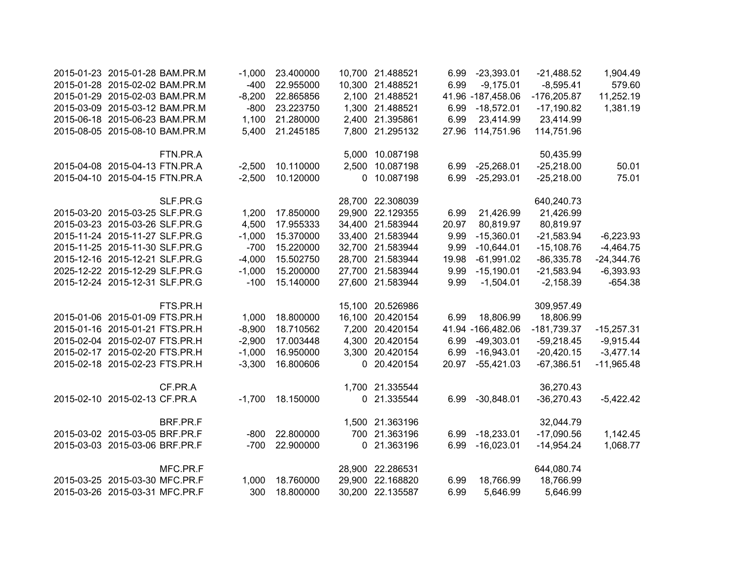| 2015-01-23 2015-01-28 BAM.PR.M |          | $-1,000$ | 23.400000 |        | 10,700 21.488521 | 6.99  | $-23,393.01$      | $-21,488.52$  | 1,904.49     |
|--------------------------------|----------|----------|-----------|--------|------------------|-------|-------------------|---------------|--------------|
| 2015-01-28 2015-02-02 BAM.PR.M |          | $-400$   | 22.955000 |        | 10,300 21.488521 | 6.99  | $-9,175.01$       | $-8,595.41$   | 579.60       |
| 2015-01-29 2015-02-03 BAM.PR.M |          | $-8,200$ | 22.865856 |        | 2,100 21.488521  |       | 41.96 -187,458.06 | $-176,205.87$ | 11,252.19    |
| 2015-03-09 2015-03-12 BAM.PR.M |          | $-800$   | 23.223750 |        | 1,300 21.488521  | 6.99  | $-18,572.01$      | $-17,190.82$  | 1,381.19     |
| 2015-06-18 2015-06-23 BAM.PR.M |          | 1,100    | 21.280000 |        | 2,400 21.395861  | 6.99  | 23,414.99         | 23,414.99     |              |
| 2015-08-05 2015-08-10 BAM.PR.M |          | 5,400    | 21.245185 |        | 7,800 21.295132  |       | 27.96 114,751.96  | 114,751.96    |              |
|                                | FTN.PR.A |          |           |        | 5,000 10.087198  |       |                   | 50,435.99     |              |
| 2015-04-08 2015-04-13 FTN.PR.A |          | $-2,500$ | 10.110000 |        | 2,500 10.087198  | 6.99  | $-25,268.01$      | $-25,218.00$  | 50.01        |
| 2015-04-10 2015-04-15 FTN.PR.A |          | $-2,500$ | 10.120000 |        | 0 10.087198      | 6.99  | $-25,293.01$      | $-25,218.00$  | 75.01        |
|                                | SLF.PR.G |          |           |        | 28,700 22.308039 |       |                   | 640,240.73    |              |
| 2015-03-20 2015-03-25 SLF.PR.G |          | 1,200    | 17.850000 |        | 29,900 22.129355 | 6.99  | 21,426.99         | 21,426.99     |              |
| 2015-03-23 2015-03-26 SLF.PR.G |          | 4,500    | 17.955333 |        | 34,400 21.583944 | 20.97 | 80,819.97         | 80,819.97     |              |
| 2015-11-24 2015-11-27 SLF.PR.G |          | $-1,000$ | 15.370000 |        | 33,400 21.583944 | 9.99  | $-15,360.01$      | $-21,583.94$  | $-6,223.93$  |
| 2015-11-25 2015-11-30 SLF.PR.G |          | $-700$   | 15.220000 |        | 32,700 21.583944 | 9.99  | $-10,644.01$      | $-15,108.76$  | $-4,464.75$  |
| 2015-12-16 2015-12-21 SLF.PR.G |          | $-4,000$ | 15.502750 |        | 28,700 21.583944 | 19.98 | $-61,991.02$      | $-86,335.78$  | $-24,344.76$ |
| 2025-12-22 2015-12-29 SLF.PR.G |          | $-1,000$ | 15.200000 |        | 27,700 21.583944 | 9.99  | $-15,190.01$      | $-21,583.94$  | $-6,393.93$  |
| 2015-12-24 2015-12-31 SLF.PR.G |          | $-100$   | 15.140000 |        | 27,600 21.583944 | 9.99  | $-1,504.01$       | $-2,158.39$   | $-654.38$    |
|                                | FTS.PR.H |          |           |        | 15,100 20.526986 |       |                   | 309,957.49    |              |
| 2015-01-06 2015-01-09 FTS.PR.H |          | 1,000    | 18.800000 | 16,100 | 20.420154        | 6.99  | 18,806.99         | 18,806.99     |              |
| 2015-01-16 2015-01-21 FTS.PR.H |          | $-8,900$ | 18.710562 | 7,200  | 20.420154        |       | 41.94 -166,482.06 | $-181,739.37$ | $-15,257.31$ |
| 2015-02-04 2015-02-07 FTS.PR.H |          | $-2,900$ | 17.003448 | 4,300  | 20.420154        | 6.99  | $-49,303.01$      | $-59,218.45$  | $-9,915.44$  |
| 2015-02-17 2015-02-20 FTS.PR.H |          | $-1,000$ | 16.950000 |        | 3,300 20.420154  | 6.99  | $-16,943.01$      | $-20,420.15$  | $-3,477.14$  |
| 2015-02-18 2015-02-23 FTS.PR.H |          | $-3,300$ | 16.800606 |        | 0 20.420154      | 20.97 | $-55,421.03$      | $-67,386.51$  | $-11,965.48$ |
|                                | CF.PR.A  |          |           |        | 1,700 21.335544  |       |                   | 36,270.43     |              |
| 2015-02-10 2015-02-13 CF.PR.A  |          | $-1,700$ | 18.150000 |        | 0 21.335544      |       | 6.99 -30,848.01   | $-36,270.43$  | $-5,422.42$  |
|                                | BRF.PR.F |          |           |        | 1,500 21.363196  |       |                   | 32,044.79     |              |
| 2015-03-02 2015-03-05 BRF.PR.F |          | $-800$   | 22.800000 |        | 700 21.363196    | 6.99  | $-18,233.01$      | $-17,090.56$  | 1,142.45     |
| 2015-03-03 2015-03-06 BRF.PR.F |          | $-700$   | 22.900000 |        | 0 21.363196      | 6.99  | $-16,023.01$      | $-14,954.24$  | 1,068.77     |
|                                | MFC.PR.F |          |           |        | 28,900 22.286531 |       |                   | 644,080.74    |              |
| 2015-03-25 2015-03-30 MFC.PR.F |          | 1,000    | 18.760000 |        | 29,900 22.168820 | 6.99  | 18,766.99         | 18,766.99     |              |
| 2015-03-26 2015-03-31 MFC.PR.F |          | 300      | 18.800000 |        | 30,200 22.135587 | 6.99  | 5,646.99          | 5,646.99      |              |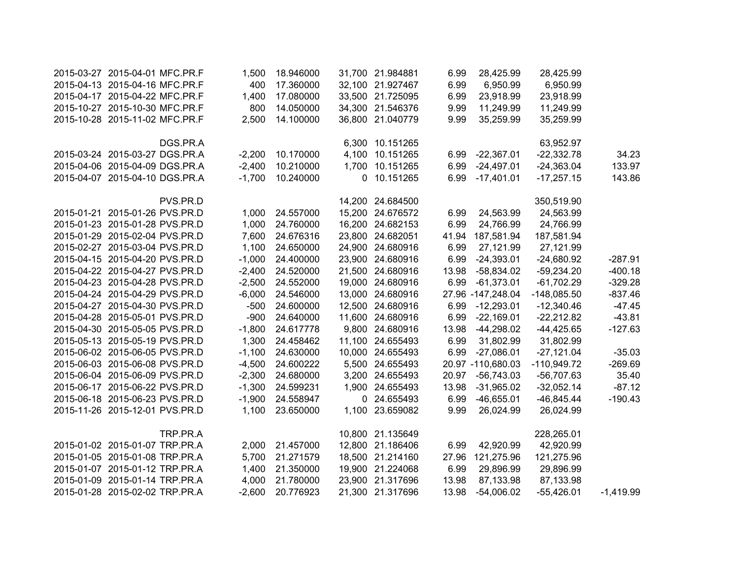| 2015-03-27 2015-04-01 MFC.PR.F |          | 1,500    | 18.946000 | 31,700 21.984881 | 6.99  | 28,425.99         | 28,425.99     |             |
|--------------------------------|----------|----------|-----------|------------------|-------|-------------------|---------------|-------------|
| 2015-04-13 2015-04-16 MFC.PR.F |          | 400      | 17.360000 | 32,100 21.927467 | 6.99  | 6,950.99          | 6,950.99      |             |
| 2015-04-17 2015-04-22 MFC.PR.F |          | 1,400    | 17.080000 | 33,500 21.725095 | 6.99  | 23,918.99         | 23,918.99     |             |
| 2015-10-27 2015-10-30 MFC.PR.F |          | 800      | 14.050000 | 34,300 21.546376 | 9.99  | 11,249.99         | 11,249.99     |             |
| 2015-10-28 2015-11-02 MFC.PR.F |          | 2,500    | 14.100000 | 36,800 21.040779 | 9.99  | 35,259.99         | 35,259.99     |             |
|                                | DGS.PR.A |          |           | 6,300 10.151265  |       |                   | 63,952.97     |             |
| 2015-03-24 2015-03-27 DGS.PR.A |          | $-2,200$ | 10.170000 | 4,100 10.151265  | 6.99  | $-22,367.01$      | $-22,332.78$  | 34.23       |
| 2015-04-06 2015-04-09 DGS.PR.A |          | $-2,400$ | 10.210000 | 1,700 10.151265  | 6.99  | $-24,497.01$      | $-24,363.04$  | 133.97      |
| 2015-04-07 2015-04-10 DGS.PR.A |          | $-1,700$ | 10.240000 | 0 10.151265      | 6.99  | $-17,401.01$      | $-17,257.15$  | 143.86      |
|                                | PVS.PR.D |          |           | 14,200 24.684500 |       |                   | 350,519.90    |             |
| 2015-01-21 2015-01-26 PVS.PR.D |          | 1,000    | 24.557000 | 15,200 24.676572 | 6.99  | 24,563.99         | 24,563.99     |             |
| 2015-01-23 2015-01-28 PVS.PR.D |          | 1,000    | 24.760000 | 16,200 24.682153 | 6.99  | 24,766.99         | 24,766.99     |             |
| 2015-01-29 2015-02-04 PVS.PR.D |          | 7,600    | 24.676316 | 23,800 24.682051 | 41.94 | 187,581.94        | 187,581.94    |             |
| 2015-02-27 2015-03-04 PVS.PR.D |          | 1,100    | 24.650000 | 24,900 24.680916 | 6.99  | 27,121.99         | 27,121.99     |             |
| 2015-04-15 2015-04-20 PVS.PR.D |          | $-1,000$ | 24.400000 | 23,900 24.680916 | 6.99  | $-24,393.01$      | $-24,680.92$  | $-287.91$   |
| 2015-04-22 2015-04-27 PVS.PR.D |          | $-2,400$ | 24.520000 | 21,500 24.680916 | 13.98 | $-58,834.02$      | $-59,234.20$  | $-400.18$   |
| 2015-04-23 2015-04-28 PVS.PR.D |          | $-2,500$ | 24.552000 | 19,000 24.680916 | 6.99  | $-61,373.01$      | $-61,702.29$  | $-329.28$   |
| 2015-04-24 2015-04-29 PVS.PR.D |          | $-6,000$ | 24.546000 | 13,000 24.680916 |       | 27.96 -147,248.04 | $-148,085.50$ | $-837.46$   |
| 2015-04-27 2015-04-30 PVS.PR.D |          | $-500$   | 24.600000 | 12,500 24.680916 |       | 6.99 -12,293.01   | $-12,340.46$  | $-47.45$    |
| 2015-04-28 2015-05-01 PVS.PR.D |          | $-900$   | 24.640000 | 11,600 24.680916 | 6.99  | $-22,169.01$      | $-22,212.82$  | $-43.81$    |
| 2015-04-30 2015-05-05 PVS.PR.D |          | $-1,800$ | 24.617778 | 9,800 24.680916  | 13.98 | $-44,298.02$      | $-44,425.65$  | $-127.63$   |
| 2015-05-13 2015-05-19 PVS.PR.D |          | 1,300    | 24.458462 | 11,100 24.655493 | 6.99  | 31,802.99         | 31,802.99     |             |
| 2015-06-02 2015-06-05 PVS.PR.D |          | $-1,100$ | 24.630000 | 10,000 24.655493 | 6.99  | $-27,086.01$      | $-27,121.04$  | $-35.03$    |
| 2015-06-03 2015-06-08 PVS.PR.D |          | $-4,500$ | 24.600222 | 5,500 24.655493  |       | 20.97 -110,680.03 | $-110,949.72$ | $-269.69$   |
| 2015-06-04 2015-06-09 PVS.PR.D |          | $-2,300$ | 24.680000 | 3,200 24.655493  |       | 20.97 -56,743.03  | $-56,707.63$  | 35.40       |
| 2015-06-17 2015-06-22 PVS.PR.D |          | $-1,300$ | 24.599231 | 1,900 24.655493  |       | 13.98 -31,965.02  | $-32,052.14$  | $-87.12$    |
| 2015-06-18 2015-06-23 PVS.PR.D |          | $-1,900$ | 24.558947 | 0 24.655493      | 6.99  | $-46,655.01$      | $-46,845.44$  | $-190.43$   |
| 2015-11-26 2015-12-01 PVS.PR.D |          | 1,100    | 23.650000 | 1,100 23.659082  | 9.99  | 26,024.99         | 26,024.99     |             |
|                                | TRP.PR.A |          |           | 10,800 21.135649 |       |                   | 228,265.01    |             |
| 2015-01-02 2015-01-07 TRP.PR.A |          | 2,000    | 21.457000 | 12,800 21.186406 | 6.99  | 42,920.99         | 42,920.99     |             |
| 2015-01-05 2015-01-08 TRP.PR.A |          | 5,700    | 21.271579 | 18,500 21.214160 |       | 27.96 121,275.96  | 121,275.96    |             |
| 2015-01-07 2015-01-12 TRP.PR.A |          | 1,400    | 21.350000 | 19,900 21.224068 | 6.99  | 29,896.99         | 29,896.99     |             |
| 2015-01-09 2015-01-14 TRP.PR.A |          | 4,000    | 21.780000 | 23,900 21.317696 | 13.98 | 87,133.98         | 87,133.98     |             |
| 2015-01-28 2015-02-02 TRP.PR.A |          | $-2,600$ | 20.776923 | 21,300 21.317696 | 13.98 | $-54,006.02$      | $-55,426.01$  | $-1,419.99$ |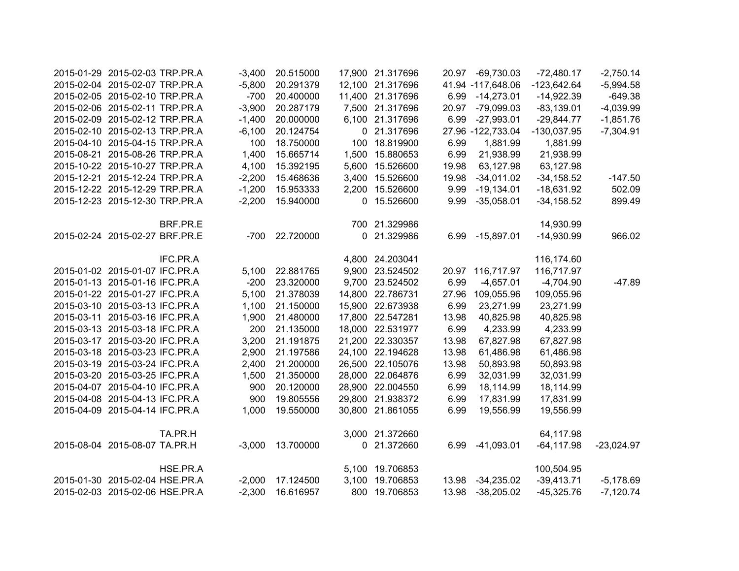| 2015-01-29 2015-02-03 TRP.PR.A |          | $-3,400$ | 20.515000       |        | 17,900 21.317696 | 20.97 | $-69,730.03$      | $-72,480.17$  | $-2,750.14$  |
|--------------------------------|----------|----------|-----------------|--------|------------------|-------|-------------------|---------------|--------------|
| 2015-02-04 2015-02-07 TRP.PR.A |          | $-5,800$ | 20.291379       |        | 12,100 21.317696 |       | 41.94 -117,648.06 | $-123,642.64$ | $-5,994.58$  |
| 2015-02-05 2015-02-10 TRP.PR.A |          | $-700$   | 20.400000       |        | 11,400 21.317696 | 6.99  | $-14,273.01$      | $-14,922.39$  | $-649.38$    |
| 2015-02-06 2015-02-11 TRP.PR.A |          | $-3,900$ | 20.287179       |        | 7,500 21.317696  | 20.97 | $-79,099.03$      | $-83,139.01$  | $-4,039.99$  |
| 2015-02-09 2015-02-12 TRP.PR.A |          | $-1,400$ | 20.000000       |        | 6,100 21.317696  | 6.99  | $-27,993.01$      | $-29,844.77$  | $-1,851.76$  |
| 2015-02-10 2015-02-13 TRP.PR.A |          | $-6,100$ | 20.124754       |        | 0 21.317696      |       | 27.96 -122,733.04 | $-130,037.95$ | $-7,304.91$  |
| 2015-04-10 2015-04-15 TRP.PR.A |          | 100      | 18.750000       |        | 100 18.819900    | 6.99  | 1,881.99          | 1,881.99      |              |
| 2015-08-21 2015-08-26 TRP.PR.A |          | 1,400    | 15.665714       |        | 1,500 15.880653  | 6.99  | 21,938.99         | 21,938.99     |              |
| 2015-10-22 2015-10-27 TRP.PR.A |          | 4,100    | 15.392195       |        | 5,600 15.526600  | 19.98 | 63,127.98         | 63,127.98     |              |
| 2015-12-21 2015-12-24 TRP.PR.A |          | $-2,200$ | 15.468636       |        | 3,400 15.526600  | 19.98 | $-34,011.02$      | $-34,158.52$  | $-147.50$    |
| 2015-12-22 2015-12-29 TRP.PR.A |          | $-1,200$ | 15.953333       |        | 2,200 15.526600  | 9.99  | $-19,134.01$      | $-18,631.92$  | 502.09       |
| 2015-12-23 2015-12-30 TRP.PR.A |          | $-2,200$ | 15.940000       |        | 0 15.526600      | 9.99  | $-35,058.01$      | $-34,158.52$  | 899.49       |
|                                | BRF.PR.E |          |                 |        | 700 21.329986    |       |                   | 14,930.99     |              |
| 2015-02-24 2015-02-27 BRF.PR.E |          |          | -700 22.720000  |        | 0 21.329986      |       | 6.99 -15,897.01   | $-14,930.99$  | 966.02       |
|                                | IFC.PR.A |          |                 |        | 4,800 24.203041  |       |                   | 116,174.60    |              |
| 2015-01-02 2015-01-07 IFC.PR.A |          |          | 5,100 22.881765 |        | 9,900 23.524502  |       | 20.97 116,717.97  | 116,717.97    |              |
| 2015-01-13 2015-01-16 IFC.PR.A |          | $-200$   | 23.320000       |        | 9,700 23.524502  | 6.99  | $-4,657.01$       | $-4,704.90$   | $-47.89$     |
| 2015-01-22 2015-01-27 IFC.PR.A |          | 5,100    | 21.378039       |        | 14,800 22.786731 | 27.96 | 109,055.96        | 109,055.96    |              |
| 2015-03-10 2015-03-13 IFC.PR.A |          | 1,100    | 21.150000       |        | 15,900 22.673938 | 6.99  | 23,271.99         | 23,271.99     |              |
| 2015-03-11 2015-03-16 IFC.PR.A |          | 1,900    | 21.480000       |        | 17,800 22.547281 | 13.98 | 40,825.98         | 40,825.98     |              |
| 2015-03-13 2015-03-18 IFC.PR.A |          | 200      | 21.135000       |        | 18,000 22.531977 | 6.99  | 4,233.99          | 4,233.99      |              |
| 2015-03-17 2015-03-20 IFC.PR.A |          | 3,200    | 21.191875       |        | 21,200 22.330357 | 13.98 | 67,827.98         | 67,827.98     |              |
| 2015-03-18 2015-03-23 IFC.PR.A |          | 2,900    | 21.197586       |        | 24,100 22.194628 | 13.98 | 61,486.98         | 61,486.98     |              |
| 2015-03-19 2015-03-24 IFC.PR.A |          | 2,400    | 21.200000       |        | 26,500 22.105076 | 13.98 | 50,893.98         | 50,893.98     |              |
| 2015-03-20 2015-03-25 IFC.PR.A |          | 1,500    | 21.350000       |        | 28,000 22.064876 | 6.99  | 32,031.99         | 32,031.99     |              |
| 2015-04-07 2015-04-10 IFC.PR.A |          | 900      | 20.120000       | 28,900 | 22.004550        | 6.99  | 18,114.99         | 18,114.99     |              |
| 2015-04-08 2015-04-13 IFC.PR.A |          | 900      | 19.805556       | 29,800 | 21.938372        | 6.99  | 17,831.99         | 17,831.99     |              |
| 2015-04-09 2015-04-14 IFC.PR.A |          | 1,000    | 19.550000       | 30,800 | 21.861055        | 6.99  | 19,556.99         | 19,556.99     |              |
|                                | TA.PR.H  |          |                 |        | 3,000 21.372660  |       |                   | 64,117.98     |              |
| 2015-08-04 2015-08-07 TA.PR.H  |          | $-3,000$ | 13.700000       |        | 0 21.372660      | 6.99  | $-41,093.01$      | $-64, 117.98$ | $-23,024.97$ |
|                                | HSE.PR.A |          |                 |        | 5,100 19.706853  |       |                   | 100,504.95    |              |
| 2015-01-30 2015-02-04 HSE.PR.A |          | $-2,000$ | 17.124500       | 3,100  | 19.706853        |       | 13.98 -34,235.02  | $-39,413.71$  | $-5,178.69$  |
| 2015-02-03 2015-02-06 HSE.PR.A |          | $-2,300$ | 16.616957       |        | 800 19.706853    | 13.98 | $-38,205.02$      | $-45,325.76$  | $-7,120.74$  |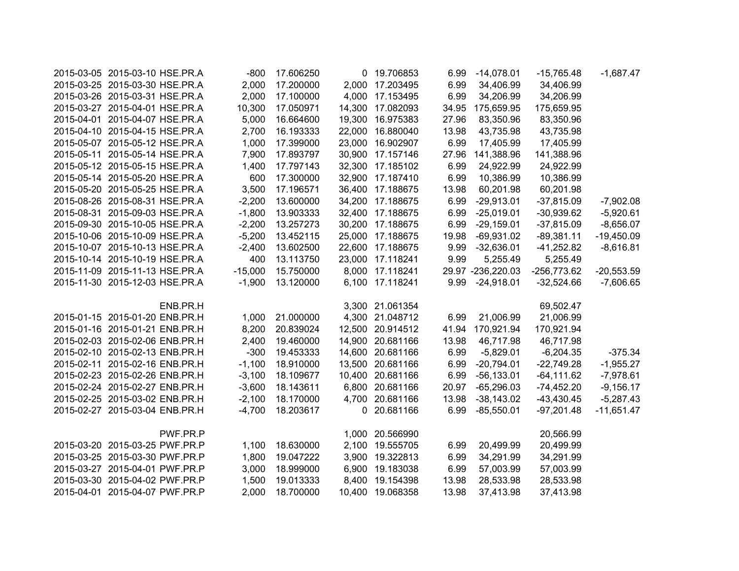| 2015-03-05 2015-03-10 HSE.PR.A | $-800$    | 17.606250 |             | 0 19.706853      | 6.99  | $-14,078.01$      | $-15,765.48$  | $-1,687.47$  |
|--------------------------------|-----------|-----------|-------------|------------------|-------|-------------------|---------------|--------------|
| 2015-03-25 2015-03-30 HSE.PR.A | 2,000     | 17.200000 | 2,000       | 17.203495        | 6.99  | 34,406.99         | 34,406.99     |              |
| 2015-03-26 2015-03-31 HSE.PR.A | 2,000     | 17.100000 | 4,000       | 17.153495        | 6.99  | 34,206.99         | 34,206.99     |              |
| 2015-03-27 2015-04-01 HSE.PR.A | 10,300    | 17.050971 | 14,300      | 17.082093        | 34.95 | 175,659.95        | 175,659.95    |              |
| 2015-04-01 2015-04-07 HSE.PR.A | 5,000     | 16.664600 | 19,300      | 16.975383        | 27.96 | 83,350.96         | 83,350.96     |              |
| 2015-04-10 2015-04-15 HSE.PR.A | 2,700     | 16.193333 | 22,000      | 16.880040        | 13.98 | 43,735.98         | 43,735.98     |              |
| 2015-05-07 2015-05-12 HSE.PR.A | 1,000     | 17.399000 | 23,000      | 16.902907        | 6.99  | 17,405.99         | 17,405.99     |              |
| 2015-05-11 2015-05-14 HSE.PR.A | 7,900     | 17.893797 | 30,900      | 17.157146        | 27.96 | 141,388.96        | 141,388.96    |              |
| 2015-05-12 2015-05-15 HSE.PR.A | 1,400     | 17.797143 | 32,300      | 17.185102        | 6.99  | 24,922.99         | 24,922.99     |              |
| 2015-05-14 2015-05-20 HSE.PR.A | 600       | 17.300000 | 32,900      | 17.187410        | 6.99  | 10,386.99         | 10,386.99     |              |
| 2015-05-20 2015-05-25 HSE.PR.A | 3,500     | 17.196571 |             | 36,400 17.188675 | 13.98 | 60,201.98         | 60,201.98     |              |
| 2015-08-26 2015-08-31 HSE.PR.A | $-2,200$  | 13.600000 |             | 34,200 17.188675 | 6.99  | $-29,913.01$      | $-37,815.09$  | $-7,902.08$  |
| 2015-08-31 2015-09-03 HSE.PR.A | $-1,800$  | 13.903333 |             | 32,400 17.188675 | 6.99  | $-25,019.01$      | $-30,939.62$  | $-5,920.61$  |
| 2015-09-30 2015-10-05 HSE.PR.A | $-2,200$  | 13.257273 |             | 30,200 17.188675 | 6.99  | $-29,159.01$      | $-37,815.09$  | $-8,656.07$  |
| 2015-10-06 2015-10-09 HSE.PR.A | $-5,200$  | 13.452115 |             | 25,000 17.188675 | 19.98 | $-69,931.02$      | $-89,381.11$  | $-19,450.09$ |
| 2015-10-07 2015-10-13 HSE.PR.A | $-2,400$  | 13.602500 |             | 22,600 17.188675 | 9.99  | $-32,636.01$      | $-41,252.82$  | $-8,616.81$  |
| 2015-10-14 2015-10-19 HSE.PR.A | 400       | 13.113750 |             | 23,000 17.118241 | 9.99  | 5,255.49          | 5,255.49      |              |
| 2015-11-09 2015-11-13 HSE.PR.A | $-15,000$ | 15.750000 |             | 8,000 17.118241  |       | 29.97 -236,220.03 | $-256,773.62$ | $-20,553.59$ |
| 2015-11-30 2015-12-03 HSE.PR.A | $-1,900$  | 13.120000 |             | 6,100 17.118241  |       | 9.99 -24,918.01   | $-32,524.66$  | $-7,606.65$  |
|                                |           |           |             |                  |       |                   |               |              |
| ENB.PR.H                       |           |           |             | 3,300 21.061354  |       |                   | 69,502.47     |              |
| 2015-01-15 2015-01-20 ENB.PR.H | 1,000     | 21.000000 |             | 4,300 21.048712  | 6.99  | 21,006.99         | 21,006.99     |              |
| 2015-01-16 2015-01-21 ENB.PR.H | 8,200     | 20.839024 |             | 12,500 20.914512 | 41.94 | 170,921.94        | 170,921.94    |              |
| 2015-02-03 2015-02-06 ENB.PR.H | 2,400     | 19.460000 |             | 14,900 20.681166 | 13.98 | 46,717.98         | 46,717.98     |              |
| 2015-02-10 2015-02-13 ENB.PR.H | $-300$    | 19.453333 |             | 14,600 20.681166 | 6.99  | $-5,829.01$       | $-6,204.35$   | $-375.34$    |
| 2015-02-11 2015-02-16 ENB.PR.H | $-1,100$  | 18.910000 |             | 13,500 20.681166 | 6.99  | $-20,794.01$      | $-22,749.28$  | $-1,955.27$  |
| 2015-02-23 2015-02-26 ENB.PR.H | $-3,100$  | 18.109677 | 10,400      | 20.681166        | 6.99  | $-56,133.01$      | $-64, 111.62$ | $-7,978.61$  |
| 2015-02-24 2015-02-27 ENB.PR.H | $-3,600$  | 18.143611 | 6,800       | 20.681166        | 20.97 | $-65,296.03$      | $-74,452.20$  | $-9,156.17$  |
| 2015-02-25 2015-03-02 ENB.PR.H | $-2,100$  | 18.170000 | 4,700       | 20.681166        | 13.98 | $-38,143.02$      | $-43,430.45$  | $-5,287.43$  |
| 2015-02-27 2015-03-04 ENB.PR.H | $-4,700$  | 18.203617 | $\mathbf 0$ | 20.681166        | 6.99  | $-85,550.01$      | $-97,201.48$  | $-11,651.47$ |
|                                |           |           |             |                  |       |                   |               |              |
| PWF.PR.P                       |           |           |             | 1,000 20.566990  |       |                   | 20,566.99     |              |
| 2015-03-20 2015-03-25 PWF.PR.P | 1,100     | 18.630000 |             | 2,100 19.555705  | 6.99  | 20,499.99         | 20,499.99     |              |
| 2015-03-25 2015-03-30 PWF.PR.P | 1,800     | 19.047222 |             | 3,900 19.322813  | 6.99  | 34,291.99         | 34,291.99     |              |
| 2015-03-27 2015-04-01 PWF.PR.P | 3,000     | 18.999000 |             | 6,900 19.183038  | 6.99  | 57,003.99         | 57,003.99     |              |
| 2015-03-30 2015-04-02 PWF.PR.P | 1,500     | 19.013333 | 8,400       | 19.154398        | 13.98 | 28,533.98         | 28,533.98     |              |
| 2015-04-01 2015-04-07 PWF.PR.P | 2,000     | 18.700000 |             | 10,400 19.068358 | 13.98 | 37,413.98         | 37,413.98     |              |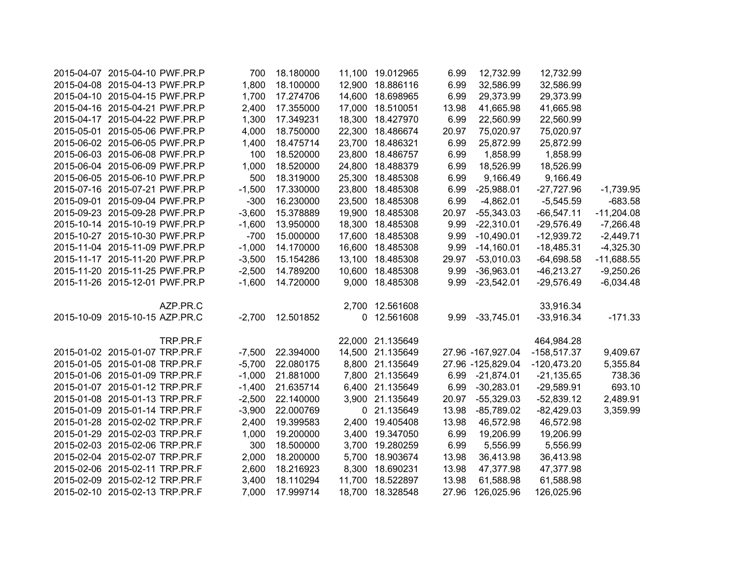| 2015-04-07 2015-04-10 PWF.PR.P | 700      | 18.180000 |        | 11,100 19.012965 | 6.99  | 12,732.99          | 12,732.99     |              |
|--------------------------------|----------|-----------|--------|------------------|-------|--------------------|---------------|--------------|
| 2015-04-08 2015-04-13 PWF.PR.P | 1,800    | 18.100000 | 12,900 | 18.886116        | 6.99  | 32,586.99          | 32,586.99     |              |
| 2015-04-10 2015-04-15 PWF.PR.P | 1,700    | 17.274706 | 14,600 | 18.698965        | 6.99  | 29,373.99          | 29,373.99     |              |
| 2015-04-16 2015-04-21 PWF.PR.P | 2,400    | 17.355000 | 17,000 | 18.510051        | 13.98 | 41,665.98          | 41,665.98     |              |
| 2015-04-17 2015-04-22 PWF.PR.P | 1,300    | 17.349231 | 18,300 | 18.427970        | 6.99  | 22,560.99          | 22,560.99     |              |
| 2015-05-01 2015-05-06 PWF.PR.P | 4,000    | 18.750000 | 22,300 | 18.486674        | 20.97 | 75,020.97          | 75,020.97     |              |
| 2015-06-02 2015-06-05 PWF.PR.P | 1,400    | 18.475714 | 23,700 | 18.486321        | 6.99  | 25,872.99          | 25,872.99     |              |
| 2015-06-03 2015-06-08 PWF.PR.P | 100      | 18.520000 | 23,800 | 18.486757        | 6.99  | 1,858.99           | 1,858.99      |              |
| 2015-06-04 2015-06-09 PWF.PR.P | 1,000    | 18.520000 | 24,800 | 18.488379        | 6.99  | 18,526.99          | 18,526.99     |              |
| 2015-06-05 2015-06-10 PWF.PR.P | 500      | 18.319000 | 25,300 | 18.485308        | 6.99  | 9,166.49           | 9,166.49      |              |
| 2015-07-16 2015-07-21 PWF.PR.P | $-1,500$ | 17.330000 | 23,800 | 18.485308        | 6.99  | $-25,988.01$       | $-27,727.96$  | $-1,739.95$  |
| 2015-09-01 2015-09-04 PWF.PR.P | $-300$   | 16.230000 | 23,500 | 18.485308        | 6.99  | $-4,862.01$        | $-5,545.59$   | $-683.58$    |
| 2015-09-23 2015-09-28 PWF.PR.P | $-3,600$ | 15.378889 | 19,900 | 18.485308        | 20.97 | $-55,343.03$       | $-66,547.11$  | $-11,204.08$ |
| 2015-10-14 2015-10-19 PWF.PR.P | $-1,600$ | 13.950000 | 18,300 | 18.485308        | 9.99  | $-22,310.01$       | $-29,576.49$  | $-7,266.48$  |
| 2015-10-27 2015-10-30 PWF.PR.P | $-700$   | 15.000000 |        | 17,600 18.485308 | 9.99  | $-10,490.01$       | $-12,939.72$  | $-2,449.71$  |
| 2015-11-04 2015-11-09 PWF.PR.P | $-1,000$ | 14.170000 |        | 16,600 18.485308 | 9.99  | $-14,160.01$       | $-18,485.31$  | $-4,325.30$  |
| 2015-11-17 2015-11-20 PWF.PR.P | $-3,500$ | 15.154286 |        | 13,100 18.485308 | 29.97 | $-53,010.03$       | $-64,698.58$  | $-11,688.55$ |
| 2015-11-20 2015-11-25 PWF.PR.P | $-2,500$ | 14.789200 |        | 10,600 18.485308 | 9.99  | $-36,963.01$       | $-46,213.27$  | $-9,250.26$  |
| 2015-11-26 2015-12-01 PWF.PR.P | $-1,600$ | 14.720000 | 9,000  | 18.485308        | 9.99  | $-23,542.01$       | $-29,576.49$  | $-6,034.48$  |
| AZP.PR.C                       |          |           |        | 2,700 12.561608  |       |                    | 33,916.34     |              |
| 2015-10-09 2015-10-15 AZP.PR.C | $-2,700$ | 12.501852 | 0      | 12.561608        | 9.99  | $-33,745.01$       | $-33,916.34$  | $-171.33$    |
| TRP.PR.F                       |          |           |        | 22,000 21.135649 |       |                    | 464,984.28    |              |
| 2015-01-02 2015-01-07 TRP.PR.F | $-7,500$ | 22.394000 |        | 14,500 21.135649 |       | 27.96 -167,927.04  | $-158,517.37$ | 9,409.67     |
| 2015-01-05 2015-01-08 TRP.PR.F | $-5,700$ | 22.080175 |        | 8,800 21.135649  |       | 27.96 - 125,829.04 | $-120,473.20$ | 5,355.84     |
| 2015-01-06 2015-01-09 TRP.PR.F | $-1,000$ | 21.881000 |        | 7,800 21.135649  |       | 6.99 -21,874.01    | $-21,135.65$  | 738.36       |
| 2015-01-07 2015-01-12 TRP.PR.F | $-1,400$ | 21.635714 |        | 6,400 21.135649  | 6.99  | $-30,283.01$       | $-29,589.91$  | 693.10       |
| 2015-01-08 2015-01-13 TRP.PR.F | $-2,500$ | 22.140000 |        | 3,900 21.135649  | 20.97 | $-55,329.03$       | $-52,839.12$  | 2,489.91     |
| 2015-01-09 2015-01-14 TRP.PR.F | $-3,900$ | 22.000769 |        | 0 21.135649      | 13.98 | $-85,789.02$       | $-82,429.03$  | 3,359.99     |
| 2015-01-28 2015-02-02 TRP.PR.F | 2,400    | 19.399583 |        | 2,400 19.405408  | 13.98 | 46,572.98          | 46,572.98     |              |
| 2015-01-29 2015-02-03 TRP.PR.F | 1,000    | 19.200000 |        | 3,400 19.347050  | 6.99  | 19,206.99          | 19,206.99     |              |
| 2015-02-03 2015-02-06 TRP.PR.F | 300      | 18.500000 |        | 3,700 19.280259  | 6.99  | 5,556.99           | 5,556.99      |              |
| 2015-02-04 2015-02-07 TRP.PR.F | 2,000    | 18.200000 |        | 5,700 18.903674  | 13.98 | 36,413.98          | 36,413.98     |              |
| 2015-02-06 2015-02-11 TRP.PR.F | 2,600    | 18.216923 |        | 8,300 18.690231  | 13.98 | 47,377.98          | 47,377.98     |              |
| 2015-02-09 2015-02-12 TRP.PR.F | 3,400    | 18.110294 | 11,700 | 18.522897        | 13.98 | 61,588.98          | 61,588.98     |              |
| 2015-02-10 2015-02-13 TRP.PR.F | 7,000    | 17.999714 |        | 18,700 18.328548 | 27.96 | 126,025.96         | 126,025.96    |              |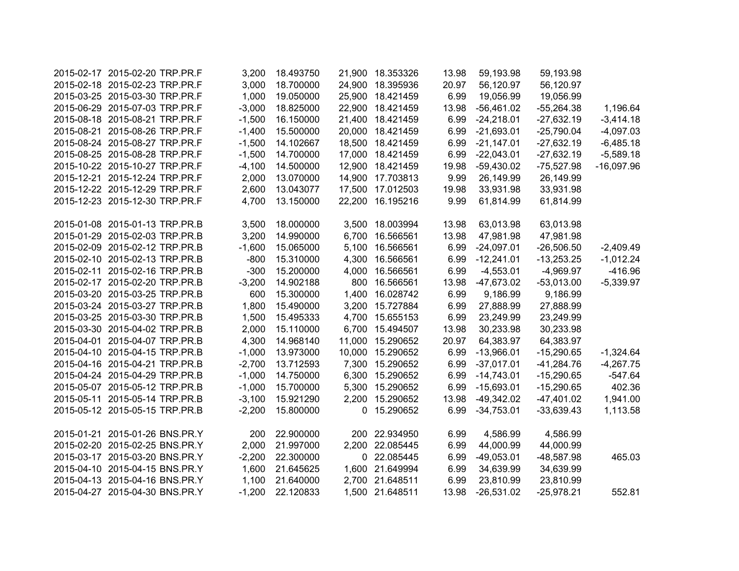| 2015-02-17 2015-02-20 TRP.PR.F | 3,200    | 18.493750 | 21,900 18.353326 | 13.98 | 59,193.98    | 59,193.98    |              |
|--------------------------------|----------|-----------|------------------|-------|--------------|--------------|--------------|
| 2015-02-18 2015-02-23 TRP.PR.F | 3,000    | 18.700000 | 24,900 18.395936 | 20.97 | 56,120.97    | 56,120.97    |              |
| 2015-03-25 2015-03-30 TRP.PR.F | 1,000    | 19.050000 | 25,900 18.421459 | 6.99  | 19,056.99    | 19,056.99    |              |
| 2015-06-29 2015-07-03 TRP.PR.F | $-3,000$ | 18.825000 | 22,900 18.421459 | 13.98 | $-56,461.02$ | $-55,264.38$ | 1,196.64     |
| 2015-08-18 2015-08-21 TRP.PR.F | $-1,500$ | 16.150000 | 21,400 18.421459 | 6.99  | $-24,218.01$ | $-27,632.19$ | $-3,414.18$  |
| 2015-08-21 2015-08-26 TRP.PR.F | $-1,400$ | 15.500000 | 20,000 18.421459 | 6.99  | $-21,693.01$ | $-25,790.04$ | $-4,097.03$  |
| 2015-08-24 2015-08-27 TRP.PR.F | $-1,500$ | 14.102667 | 18,500 18.421459 | 6.99  | $-21,147.01$ | $-27,632.19$ | $-6,485.18$  |
| 2015-08-25 2015-08-28 TRP.PR.F | $-1,500$ | 14.700000 | 17,000 18.421459 | 6.99  | $-22,043.01$ | $-27,632.19$ | $-5,589.18$  |
| 2015-10-22 2015-10-27 TRP.PR.F | $-4,100$ | 14.500000 | 12,900 18.421459 | 19.98 | $-59,430.02$ | $-75,527.98$ | $-16,097.96$ |
| 2015-12-21 2015-12-24 TRP.PR.F | 2,000    | 13.070000 | 14,900 17.703813 | 9.99  | 26,149.99    | 26,149.99    |              |
| 2015-12-22 2015-12-29 TRP.PR.F | 2,600    | 13.043077 | 17,500 17.012503 | 19.98 | 33,931.98    | 33,931.98    |              |
| 2015-12-23 2015-12-30 TRP.PR.F | 4,700    | 13.150000 | 22,200 16.195216 | 9.99  | 61,814.99    | 61,814.99    |              |
|                                |          |           |                  |       |              |              |              |
| 2015-01-08 2015-01-13 TRP.PR.B | 3,500    | 18.000000 | 3,500 18.003994  | 13.98 | 63,013.98    | 63,013.98    |              |
| 2015-01-29 2015-02-03 TRP.PR.B | 3,200    | 14.990000 | 6,700 16.566561  | 13.98 | 47,981.98    | 47,981.98    |              |
| 2015-02-09 2015-02-12 TRP.PR.B | $-1,600$ | 15.065000 | 5,100 16.566561  | 6.99  | $-24,097.01$ | $-26,506.50$ | $-2,409.49$  |
| 2015-02-10 2015-02-13 TRP.PR.B | $-800$   | 15.310000 | 4,300 16.566561  | 6.99  | $-12,241.01$ | $-13,253.25$ | $-1,012.24$  |
| 2015-02-11 2015-02-16 TRP.PR.B | $-300$   | 15.200000 | 4,000 16.566561  | 6.99  | $-4,553.01$  | $-4,969.97$  | $-416.96$    |
| 2015-02-17 2015-02-20 TRP.PR.B | $-3,200$ | 14.902188 | 800 16.566561    | 13.98 | $-47,673.02$ | $-53,013.00$ | $-5,339.97$  |
| 2015-03-20 2015-03-25 TRP.PR.B | 600      | 15.300000 | 1,400 16.028742  | 6.99  | 9,186.99     | 9,186.99     |              |
| 2015-03-24 2015-03-27 TRP.PR.B | 1,800    | 15.490000 | 3,200 15.727884  | 6.99  | 27,888.99    | 27,888.99    |              |
| 2015-03-25 2015-03-30 TRP.PR.B | 1,500    | 15.495333 | 4,700 15.655153  | 6.99  | 23,249.99    | 23,249.99    |              |
| 2015-03-30 2015-04-02 TRP.PR.B | 2,000    | 15.110000 | 6,700 15.494507  | 13.98 | 30,233.98    | 30,233.98    |              |
| 2015-04-01 2015-04-07 TRP.PR.B | 4,300    | 14.968140 | 11,000 15.290652 | 20.97 | 64,383.97    | 64,383.97    |              |
| 2015-04-10 2015-04-15 TRP.PR.B | $-1,000$ | 13.973000 | 10,000 15.290652 | 6.99  | $-13,966.01$ | $-15,290.65$ | $-1,324.64$  |
| 2015-04-16 2015-04-21 TRP.PR.B | $-2,700$ | 13.712593 | 7,300 15.290652  | 6.99  | $-37,017.01$ | $-41,284.76$ | $-4,267.75$  |
| 2015-04-24 2015-04-29 TRP.PR.B | $-1,000$ | 14.750000 | 6,300 15.290652  | 6.99  | $-14,743.01$ | $-15,290.65$ | $-547.64$    |
| 2015-05-07 2015-05-12 TRP.PR.B | $-1,000$ | 15.700000 | 5,300 15.290652  | 6.99  | $-15,693.01$ | $-15,290.65$ | 402.36       |
| 2015-05-11 2015-05-14 TRP.PR.B | $-3,100$ | 15.921290 | 2,200 15.290652  | 13.98 | $-49,342.02$ | $-47,401.02$ | 1,941.00     |
| 2015-05-12 2015-05-15 TRP.PR.B | $-2,200$ | 15.800000 | 0 15.290652      | 6.99  | $-34,753.01$ | $-33,639.43$ | 1,113.58     |
| 2015-01-21 2015-01-26 BNS.PR.Y | 200      | 22.900000 | 200 22.934950    | 6.99  | 4,586.99     | 4,586.99     |              |
| 2015-02-20 2015-02-25 BNS.PR.Y | 2,000    | 21.997000 | 2,200 22.085445  | 6.99  | 44,000.99    | 44,000.99    |              |
| 2015-03-17 2015-03-20 BNS.PR.Y | $-2,200$ | 22.300000 | 0 22.085445      | 6.99  | $-49,053.01$ | $-48,587.98$ | 465.03       |
| 2015-04-10 2015-04-15 BNS.PR.Y | 1,600    | 21.645625 | 1,600 21.649994  | 6.99  | 34,639.99    | 34,639.99    |              |
| 2015-04-13 2015-04-16 BNS.PR.Y | 1,100    | 21.640000 | 2,700 21.648511  | 6.99  | 23,810.99    | 23,810.99    |              |
| 2015-04-27 2015-04-30 BNS.PR.Y | $-1,200$ | 22.120833 | 1,500 21.648511  | 13.98 | $-26,531.02$ | $-25,978.21$ | 552.81       |
|                                |          |           |                  |       |              |              |              |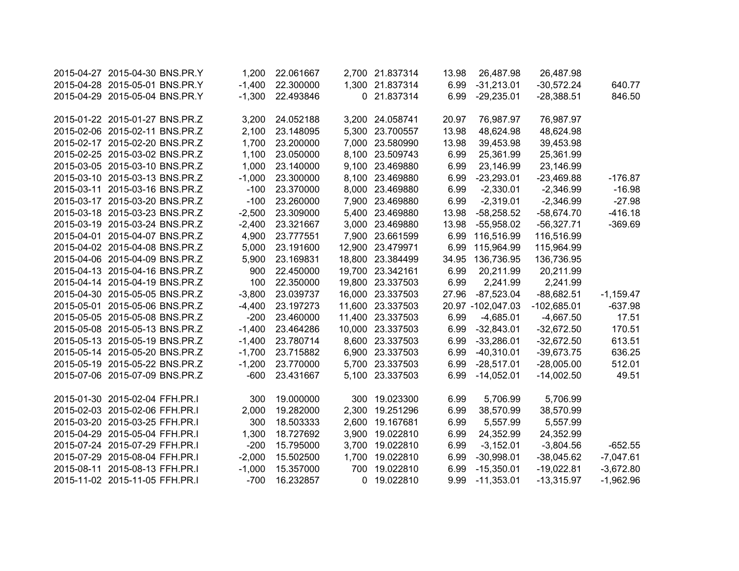| 2015-04-27 2015-04-30 BNS.PR.Y | 1,200    | 22.061667 |       | 2,700 21.837314  | 13.98 | 26,487.98         | 26,487.98     |             |
|--------------------------------|----------|-----------|-------|------------------|-------|-------------------|---------------|-------------|
| 2015-04-28 2015-05-01 BNS.PR.Y | $-1,400$ | 22.300000 |       | 1,300 21.837314  | 6.99  | $-31,213.01$      | $-30,572.24$  | 640.77      |
| 2015-04-29 2015-05-04 BNS.PR.Y | $-1,300$ | 22.493846 |       | 0 21.837314      | 6.99  | $-29,235.01$      | $-28,388.51$  | 846.50      |
|                                |          |           |       |                  |       |                   |               |             |
| 2015-01-22 2015-01-27 BNS.PR.Z | 3,200    | 24.052188 |       | 3,200 24.058741  | 20.97 | 76,987.97         | 76,987.97     |             |
| 2015-02-06 2015-02-11 BNS.PR.Z | 2,100    | 23.148095 |       | 5,300 23.700557  | 13.98 | 48,624.98         | 48,624.98     |             |
| 2015-02-17 2015-02-20 BNS.PR.Z | 1,700    | 23.200000 |       | 7,000 23.580990  | 13.98 | 39,453.98         | 39,453.98     |             |
| 2015-02-25 2015-03-02 BNS.PR.Z | 1,100    | 23.050000 |       | 8,100 23.509743  | 6.99  | 25,361.99         | 25,361.99     |             |
| 2015-03-05 2015-03-10 BNS.PR.Z | 1,000    | 23.140000 |       | 9,100 23.469880  | 6.99  | 23,146.99         | 23,146.99     |             |
| 2015-03-10 2015-03-13 BNS.PR.Z | $-1,000$ | 23.300000 |       | 8,100 23.469880  | 6.99  | $-23,293.01$      | $-23,469.88$  | $-176.87$   |
| 2015-03-11 2015-03-16 BNS.PR.Z | $-100$   | 23.370000 |       | 8,000 23.469880  | 6.99  | $-2,330.01$       | $-2,346.99$   | $-16.98$    |
| 2015-03-17 2015-03-20 BNS.PR.Z | $-100$   | 23.260000 |       | 7,900 23.469880  | 6.99  | $-2,319.01$       | $-2,346.99$   | $-27.98$    |
| 2015-03-18 2015-03-23 BNS.PR.Z | $-2,500$ | 23.309000 |       | 5,400 23.469880  | 13.98 | $-58,258.52$      | $-58,674.70$  | $-416.18$   |
| 2015-03-19 2015-03-24 BNS.PR.Z | $-2,400$ | 23.321667 |       | 3,000 23.469880  | 13.98 | $-55,958.02$      | $-56,327.71$  | $-369.69$   |
| 2015-04-01 2015-04-07 BNS.PR.Z | 4,900    | 23.777551 |       | 7,900 23.661599  | 6.99  | 116,516.99        | 116,516.99    |             |
| 2015-04-02 2015-04-08 BNS.PR.Z | 5,000    | 23.191600 |       | 12,900 23.479971 | 6.99  | 115,964.99        | 115,964.99    |             |
| 2015-04-06 2015-04-09 BNS.PR.Z | 5,900    | 23.169831 |       | 18,800 23.384499 | 34.95 | 136,736.95        | 136,736.95    |             |
| 2015-04-13 2015-04-16 BNS.PR.Z | 900      | 22.450000 |       | 19,700 23.342161 | 6.99  | 20,211.99         | 20,211.99     |             |
| 2015-04-14 2015-04-19 BNS.PR.Z | 100      | 22.350000 |       | 19,800 23.337503 | 6.99  | 2,241.99          | 2,241.99      |             |
| 2015-04-30 2015-05-05 BNS.PR.Z | $-3,800$ | 23.039737 |       | 16,000 23.337503 | 27.96 | $-87,523.04$      | $-88,682.51$  | $-1,159.47$ |
| 2015-05-01 2015-05-06 BNS.PR.Z | $-4,400$ | 23.197273 |       | 11,600 23.337503 |       | 20.97 -102,047.03 | $-102,685.01$ | $-637.98$   |
| 2015-05-05 2015-05-08 BNS.PR.Z | $-200$   | 23.460000 |       | 11,400 23.337503 | 6.99  | $-4,685.01$       | $-4,667.50$   | 17.51       |
| 2015-05-08 2015-05-13 BNS.PR.Z | $-1,400$ | 23.464286 |       | 10,000 23.337503 | 6.99  | $-32,843.01$      | $-32,672.50$  | 170.51      |
| 2015-05-13 2015-05-19 BNS.PR.Z | $-1,400$ | 23.780714 |       | 8,600 23.337503  | 6.99  | $-33,286.01$      | $-32,672.50$  | 613.51      |
| 2015-05-14 2015-05-20 BNS.PR.Z | $-1,700$ | 23.715882 |       | 6,900 23.337503  | 6.99  | $-40,310.01$      | $-39,673.75$  | 636.25      |
| 2015-05-19 2015-05-22 BNS.PR.Z | $-1,200$ | 23.770000 |       | 5,700 23.337503  | 6.99  | $-28,517.01$      | $-28,005.00$  | 512.01      |
| 2015-07-06 2015-07-09 BNS.PR.Z | $-600$   | 23.431667 |       | 5,100 23.337503  | 6.99  | $-14,052.01$      | $-14,002.50$  | 49.51       |
|                                |          |           |       |                  |       |                   |               |             |
| 2015-01-30 2015-02-04 FFH.PR.I | 300      | 19.000000 |       | 300 19.023300    | 6.99  | 5,706.99          | 5,706.99      |             |
| 2015-02-03 2015-02-06 FFH.PR.I | 2,000    | 19.282000 | 2,300 | 19.251296        | 6.99  | 38,570.99         | 38,570.99     |             |
| 2015-03-20 2015-03-25 FFH.PR.I | 300      | 18.503333 |       | 2,600 19.167681  | 6.99  | 5,557.99          | 5,557.99      |             |
| 2015-04-29 2015-05-04 FFH.PR.I | 1,300    | 18.727692 | 3,900 | 19.022810        | 6.99  | 24,352.99         | 24,352.99     |             |
| 2015-07-24 2015-07-29 FFH.PR.I | $-200$   | 15.795000 | 3,700 | 19.022810        | 6.99  | $-3,152.01$       | $-3,804.56$   | $-652.55$   |
| 2015-07-29 2015-08-04 FFH.PR.I | $-2,000$ | 15.502500 | 1,700 | 19.022810        | 6.99  | $-30,998.01$      | $-38,045.62$  | $-7,047.61$ |
| 2015-08-11 2015-08-13 FFH.PR.I | $-1,000$ | 15.357000 | 700   | 19.022810        | 6.99  | $-15,350.01$      | $-19,022.81$  | $-3,672.80$ |
| 2015-11-02 2015-11-05 FFH.PR.I | $-700$   | 16.232857 | 0     | 19.022810        | 9.99  | $-11,353.01$      | $-13,315.97$  | $-1,962.96$ |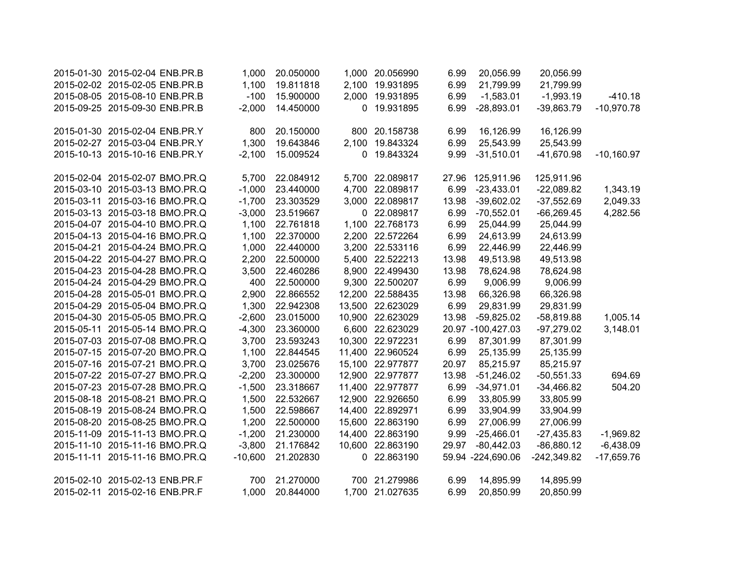| 2015-01-30 2015-02-04 ENB.PR.B | 1,000     | 20.050000 |        | 1,000 20.056990  | 6.99  | 20,056.99         | 20,056.99     |              |
|--------------------------------|-----------|-----------|--------|------------------|-------|-------------------|---------------|--------------|
| 2015-02-02 2015-02-05 ENB.PR.B | 1,100     | 19.811818 | 2,100  | 19.931895        | 6.99  | 21,799.99         | 21,799.99     |              |
| 2015-08-05 2015-08-10 ENB.PR.B | $-100$    | 15.900000 | 2,000  | 19.931895        | 6.99  | $-1,583.01$       | $-1,993.19$   | $-410.18$    |
| 2015-09-25 2015-09-30 ENB.PR.B | $-2,000$  | 14.450000 | 0      | 19.931895        | 6.99  | $-28,893.01$      | $-39,863.79$  | $-10,970.78$ |
|                                |           |           |        |                  |       |                   |               |              |
| 2015-01-30 2015-02-04 ENB.PR.Y | 800       | 20.150000 | 800    | 20.158738        | 6.99  | 16,126.99         | 16,126.99     |              |
| 2015-02-27 2015-03-04 ENB.PR.Y | 1,300     | 19.643846 | 2,100  | 19.843324        | 6.99  | 25,543.99         | 25,543.99     |              |
| 2015-10-13 2015-10-16 ENB.PR.Y | $-2,100$  | 15.009524 |        | 0 19.843324      | 9.99  | $-31,510.01$      | $-41,670.98$  | $-10,160.97$ |
| 2015-02-04 2015-02-07 BMO.PR.Q | 5,700     | 22.084912 |        | 5,700 22.089817  |       | 27.96 125,911.96  | 125,911.96    |              |
| 2015-03-10 2015-03-13 BMO.PR.Q | $-1,000$  | 23.440000 |        | 4,700 22.089817  | 6.99  | $-23,433.01$      | $-22,089.82$  | 1,343.19     |
| 2015-03-11 2015-03-16 BMO.PR.Q | $-1,700$  | 23.303529 |        | 3,000 22.089817  | 13.98 | $-39,602.02$      | $-37,552.69$  | 2,049.33     |
| 2015-03-13 2015-03-18 BMO.PR.Q | $-3,000$  | 23.519667 |        | 0 22.089817      | 6.99  | $-70,552.01$      | $-66,269.45$  | 4,282.56     |
| 2015-04-07 2015-04-10 BMO.PR.Q | 1,100     | 22.761818 |        | 1,100 22.768173  | 6.99  | 25,044.99         | 25,044.99     |              |
| 2015-04-13 2015-04-16 BMO.PR.Q | 1,100     | 22.370000 |        | 2,200 22.572264  | 6.99  | 24,613.99         | 24,613.99     |              |
| 2015-04-21 2015-04-24 BMO.PR.Q | 1,000     | 22.440000 |        | 3,200 22.533116  | 6.99  | 22,446.99         | 22,446.99     |              |
| 2015-04-22 2015-04-27 BMO.PR.Q | 2,200     | 22.500000 |        | 5,400 22.522213  | 13.98 | 49,513.98         | 49,513.98     |              |
| 2015-04-23 2015-04-28 BMO.PR.Q | 3,500     | 22.460286 |        | 8,900 22.499430  | 13.98 | 78,624.98         | 78,624.98     |              |
| 2015-04-24 2015-04-29 BMO.PR.Q | 400       | 22.500000 |        | 9,300 22.500207  | 6.99  | 9,006.99          | 9,006.99      |              |
| 2015-04-28 2015-05-01 BMO.PR.Q | 2,900     | 22.866552 |        | 12,200 22.588435 | 13.98 | 66,326.98         | 66,326.98     |              |
| 2015-04-29 2015-05-04 BMO.PR.Q | 1,300     | 22.942308 |        | 13,500 22.623029 | 6.99  | 29,831.99         | 29,831.99     |              |
| 2015-04-30 2015-05-05 BMO.PR.Q | $-2,600$  | 23.015000 |        | 10,900 22.623029 | 13.98 | $-59,825.02$      | $-58,819.88$  | 1,005.14     |
| 2015-05-11 2015-05-14 BMO.PR.Q | $-4,300$  | 23.360000 |        | 6,600 22.623029  |       | 20.97 -100,427.03 | $-97,279.02$  | 3,148.01     |
| 2015-07-03 2015-07-08 BMO.PR.Q | 3,700     | 23.593243 |        | 10,300 22.972231 | 6.99  | 87,301.99         | 87,301.99     |              |
| 2015-07-15 2015-07-20 BMO.PR.Q | 1,100     | 22.844545 |        | 11,400 22.960524 | 6.99  | 25,135.99         | 25,135.99     |              |
| 2015-07-16 2015-07-21 BMO.PR.Q | 3,700     | 23.025676 |        | 15,100 22.977877 | 20.97 | 85,215.97         | 85,215.97     |              |
| 2015-07-22 2015-07-27 BMO.PR.Q | $-2,200$  | 23.300000 |        | 12,900 22.977877 | 13.98 | $-51,246.02$      | $-50,551.33$  | 694.69       |
| 2015-07-23 2015-07-28 BMO.PR.Q | $-1,500$  | 23.318667 |        | 11,400 22.977877 | 6.99  | $-34,971.01$      | $-34,466.82$  | 504.20       |
| 2015-08-18 2015-08-21 BMO.PR.Q | 1,500     | 22.532667 |        | 12,900 22.926650 | 6.99  | 33,805.99         | 33,805.99     |              |
| 2015-08-19 2015-08-24 BMO.PR.Q | 1,500     | 22.598667 |        | 14,400 22.892971 | 6.99  | 33,904.99         | 33,904.99     |              |
| 2015-08-20 2015-08-25 BMO.PR.Q | 1,200     | 22.500000 | 15,600 | 22.863190        | 6.99  | 27,006.99         | 27,006.99     |              |
| 2015-11-09 2015-11-13 BMO.PR.Q | $-1,200$  | 21.230000 | 14,400 | 22.863190        | 9.99  | $-25,466.01$      | $-27,435.83$  | $-1,969.82$  |
| 2015-11-10 2015-11-16 BMO.PR.Q | $-3,800$  | 21.176842 | 10,600 | 22.863190        | 29.97 | $-80,442.03$      | $-86,880.12$  | $-6,438.09$  |
| 2015-11-11 2015-11-16 BMO.PR.Q | $-10,600$ | 21.202830 |        | 0 22.863190      |       | 59.94 -224,690.06 | $-242,349.82$ | $-17,659.76$ |
| 2015-02-10 2015-02-13 ENB.PR.F | 700       | 21.270000 |        | 700 21.279986    | 6.99  | 14,895.99         | 14,895.99     |              |
| 2015-02-11 2015-02-16 ENB.PR.F | 1,000     | 20.844000 |        | 1,700 21.027635  | 6.99  | 20,850.99         | 20,850.99     |              |
|                                |           |           |        |                  |       |                   |               |              |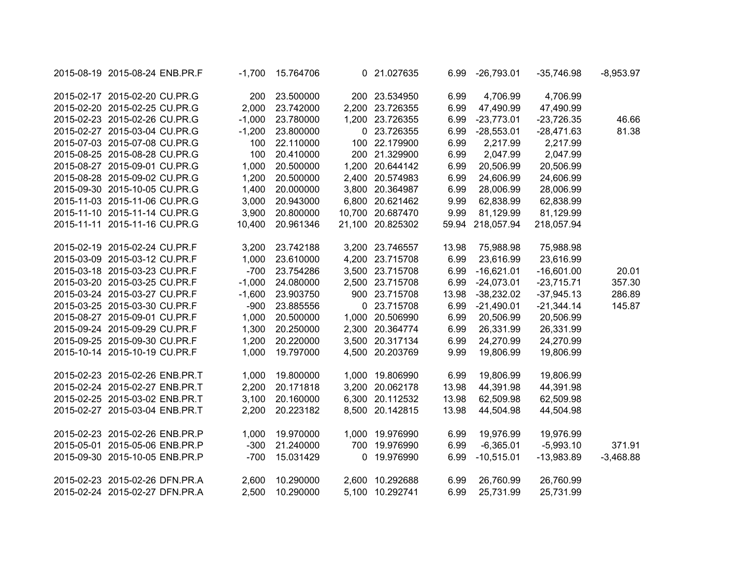| 2015-08-19 2015-08-24 ENB.PR.F | $-1,700$ | 15.764706 |             | 0 21.027635      | 6.99  | $-26,793.01$     | $-35,746.98$ | $-8,953.97$ |
|--------------------------------|----------|-----------|-------------|------------------|-------|------------------|--------------|-------------|
| 2015-02-17 2015-02-20 CU.PR.G  | 200      | 23.500000 |             | 200 23.534950    | 6.99  | 4,706.99         | 4,706.99     |             |
| 2015-02-20 2015-02-25 CU.PR.G  | 2,000    | 23.742000 |             | 2,200 23.726355  | 6.99  | 47,490.99        | 47,490.99    |             |
| 2015-02-23 2015-02-26 CU.PR.G  | $-1,000$ | 23.780000 |             | 1,200 23.726355  | 6.99  | $-23,773.01$     | $-23,726.35$ | 46.66       |
| 2015-02-27 2015-03-04 CU.PR.G  | $-1,200$ | 23.800000 |             | 0 23.726355      | 6.99  | $-28,553.01$     | $-28,471.63$ | 81.38       |
| 2015-07-03 2015-07-08 CU.PR.G  | 100      | 22.110000 |             | 100 22.179900    | 6.99  | 2,217.99         | 2,217.99     |             |
| 2015-08-25 2015-08-28 CU.PR.G  | 100      | 20.410000 |             | 200 21.329900    | 6.99  | 2,047.99         | 2,047.99     |             |
| 2015-08-27 2015-09-01 CU.PR.G  | 1,000    | 20.500000 |             | 1,200 20.644142  | 6.99  | 20,506.99        | 20,506.99    |             |
| 2015-08-28 2015-09-02 CU.PR.G  | 1,200    | 20.500000 |             | 2,400 20.574983  | 6.99  | 24,606.99        | 24,606.99    |             |
| 2015-09-30 2015-10-05 CU.PR.G  | 1,400    | 20.000000 |             | 3,800 20.364987  | 6.99  | 28,006.99        | 28,006.99    |             |
| 2015-11-03 2015-11-06 CU.PR.G  | 3,000    | 20.943000 |             | 6,800 20.621462  | 9.99  | 62,838.99        | 62,838.99    |             |
| 2015-11-10 2015-11-14 CU.PR.G  | 3,900    | 20.800000 |             | 10,700 20.687470 | 9.99  | 81,129.99        | 81,129.99    |             |
| 2015-11-11 2015-11-16 CU.PR.G  | 10,400   | 20.961346 |             | 21,100 20.825302 |       | 59.94 218,057.94 | 218,057.94   |             |
| 2015-02-19 2015-02-24 CU.PR.F  | 3,200    | 23.742188 |             | 3,200 23.746557  | 13.98 | 75,988.98        | 75,988.98    |             |
| 2015-03-09 2015-03-12 CU.PR.F  | 1,000    | 23.610000 |             | 4,200 23.715708  | 6.99  | 23,616.99        | 23,616.99    |             |
| 2015-03-18 2015-03-23 CU.PR.F  | $-700$   | 23.754286 |             | 3,500 23.715708  | 6.99  | $-16,621.01$     | $-16,601.00$ | 20.01       |
| 2015-03-20 2015-03-25 CU.PR.F  | $-1,000$ | 24.080000 |             | 2,500 23.715708  | 6.99  | $-24,073.01$     | $-23,715.71$ | 357.30      |
| 2015-03-24 2015-03-27 CU.PR.F  | $-1,600$ | 23.903750 |             | 900 23.715708    | 13.98 | $-38,232.02$     | $-37,945.13$ | 286.89      |
| 2015-03-25 2015-03-30 CU.PR.F  | $-900$   | 23.885556 |             | 0 23.715708      | 6.99  | $-21,490.01$     | $-21,344.14$ | 145.87      |
| 2015-08-27 2015-09-01 CU.PR.F  | 1,000    | 20.500000 |             | 1,000 20.506990  | 6.99  | 20,506.99        | 20,506.99    |             |
| 2015-09-24 2015-09-29 CU.PR.F  | 1,300    | 20.250000 |             | 2,300 20.364774  | 6.99  | 26,331.99        | 26,331.99    |             |
| 2015-09-25 2015-09-30 CU.PR.F  | 1,200    | 20.220000 |             | 3,500 20.317134  | 6.99  | 24,270.99        | 24,270.99    |             |
| 2015-10-14 2015-10-19 CU.PR.F  | 1,000    | 19.797000 |             | 4,500 20.203769  | 9.99  | 19,806.99        | 19,806.99    |             |
| 2015-02-23 2015-02-26 ENB.PR.T | 1,000    | 19.800000 |             | 1,000 19.806990  | 6.99  | 19,806.99        | 19,806.99    |             |
| 2015-02-24 2015-02-27 ENB.PR.T | 2,200    | 20.171818 | 3,200       | 20.062178        | 13.98 | 44,391.98        | 44,391.98    |             |
| 2015-02-25 2015-03-02 ENB.PR.T | 3,100    | 20.160000 |             | 6,300 20.112532  | 13.98 | 62,509.98        | 62,509.98    |             |
| 2015-02-27 2015-03-04 ENB.PR.T | 2,200    | 20.223182 | 8,500       | 20.142815        | 13.98 | 44,504.98        | 44,504.98    |             |
| 2015-02-23 2015-02-26 ENB.PR.P | 1,000    | 19.970000 |             | 1,000 19.976990  | 6.99  | 19,976.99        | 19,976.99    |             |
| 2015-05-01 2015-05-06 ENB.PR.P | $-300$   | 21.240000 | 700         | 19.976990        | 6.99  | $-6,365.01$      | $-5,993.10$  | 371.91      |
| 2015-09-30 2015-10-05 ENB.PR.P | $-700$   | 15.031429 | $\mathbf 0$ | 19.976990        | 6.99  | $-10,515.01$     | $-13,983.89$ | $-3,468.88$ |
| 2015-02-23 2015-02-26 DFN.PR.A | 2,600    | 10.290000 |             | 2,600 10.292688  | 6.99  | 26,760.99        | 26,760.99    |             |
| 2015-02-24 2015-02-27 DFN.PR.A | 2,500    | 10.290000 |             | 5,100 10.292741  | 6.99  | 25,731.99        | 25,731.99    |             |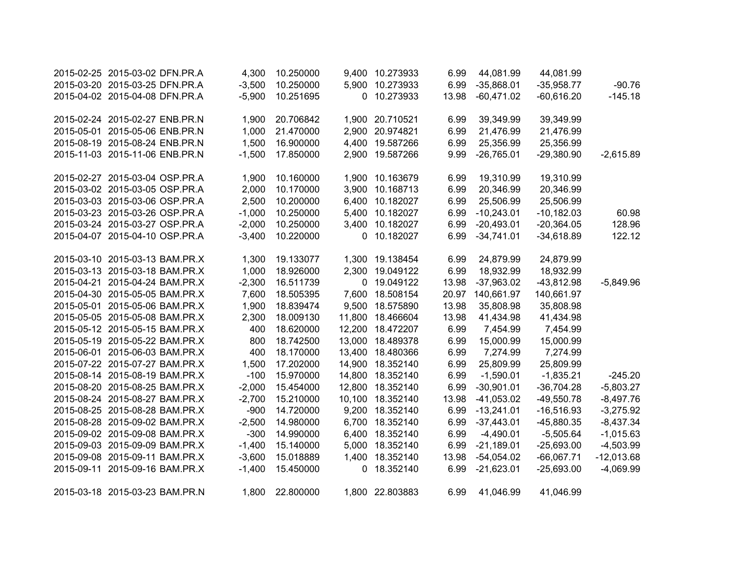| 2015-02-25 2015-03-02 DFN.PR.A | 4,300    | 10.250000 | 9,400       | 10.273933       | 6.99  | 44,081.99    | 44,081.99    |              |
|--------------------------------|----------|-----------|-------------|-----------------|-------|--------------|--------------|--------------|
| 2015-03-20 2015-03-25 DFN.PR.A | $-3,500$ | 10.250000 | 5,900       | 10.273933       | 6.99  | $-35,868.01$ | $-35,958.77$ | $-90.76$     |
| 2015-04-02 2015-04-08 DFN.PR.A | $-5,900$ | 10.251695 | 0           | 10.273933       | 13.98 | $-60,471.02$ | $-60,616.20$ | $-145.18$    |
|                                |          |           |             |                 |       |              |              |              |
| 2015-02-24 2015-02-27 ENB.PR.N | 1,900    | 20.706842 |             | 1,900 20.710521 | 6.99  | 39,349.99    | 39,349.99    |              |
| 2015-05-01 2015-05-06 ENB.PR.N | 1,000    | 21.470000 | 2,900       | 20.974821       | 6.99  | 21,476.99    | 21,476.99    |              |
| 2015-08-19 2015-08-24 ENB.PR.N | 1,500    | 16.900000 | 4,400       | 19.587266       | 6.99  | 25,356.99    | 25,356.99    |              |
| 2015-11-03 2015-11-06 ENB.PR.N | $-1,500$ | 17.850000 |             | 2,900 19.587266 | 9.99  | $-26,765.01$ | $-29,380.90$ | $-2,615.89$  |
|                                |          |           |             |                 |       |              |              |              |
| 2015-02-27 2015-03-04 OSP.PR.A | 1,900    | 10.160000 |             | 1,900 10.163679 | 6.99  | 19,310.99    | 19,310.99    |              |
| 2015-03-02 2015-03-05 OSP.PR.A | 2,000    | 10.170000 |             | 3,900 10.168713 | 6.99  | 20,346.99    | 20,346.99    |              |
| 2015-03-03 2015-03-06 OSP.PR.A | 2,500    | 10.200000 |             | 6,400 10.182027 | 6.99  | 25,506.99    | 25,506.99    |              |
| 2015-03-23 2015-03-26 OSP.PR.A | $-1,000$ | 10.250000 |             | 5,400 10.182027 | 6.99  | $-10,243.01$ | $-10,182.03$ | 60.98        |
| 2015-03-24 2015-03-27 OSP.PR.A | $-2,000$ | 10.250000 |             | 3,400 10.182027 | 6.99  | $-20,493.01$ | $-20,364.05$ | 128.96       |
| 2015-04-07 2015-04-10 OSP.PR.A | $-3,400$ | 10.220000 |             | 0 10.182027     | 6.99  | $-34,741.01$ | $-34,618.89$ | 122.12       |
| 2015-03-10 2015-03-13 BAM.PR.X | 1,300    | 19.133077 |             | 1,300 19.138454 | 6.99  | 24,879.99    | 24,879.99    |              |
| 2015-03-13 2015-03-18 BAM.PR.X | 1,000    | 18.926000 | 2,300       | 19.049122       | 6.99  | 18,932.99    | 18,932.99    |              |
| 2015-04-21 2015-04-24 BAM.PR.X | $-2,300$ | 16.511739 | $\mathbf 0$ | 19.049122       | 13.98 | $-37,963.02$ | $-43,812.98$ |              |
|                                |          |           |             |                 |       |              |              | $-5,849.96$  |
| 2015-04-30 2015-05-05 BAM.PR.X | 7,600    | 18.505395 | 7,600       | 18.508154       | 20.97 | 140,661.97   | 140,661.97   |              |
| 2015-05-01 2015-05-06 BAM.PR.X | 1,900    | 18.839474 | 9,500       | 18.575890       | 13.98 | 35,808.98    | 35,808.98    |              |
| 2015-05-05 2015-05-08 BAM.PR.X | 2,300    | 18.009130 | 11,800      | 18.466604       | 13.98 | 41,434.98    | 41,434.98    |              |
| 2015-05-12 2015-05-15 BAM.PR.X | 400      | 18.620000 | 12,200      | 18.472207       | 6.99  | 7,454.99     | 7,454.99     |              |
| 2015-05-19 2015-05-22 BAM.PR.X | 800      | 18.742500 | 13,000      | 18.489378       | 6.99  | 15,000.99    | 15,000.99    |              |
| 2015-06-01 2015-06-03 BAM.PR.X | 400      | 18.170000 | 13,400      | 18.480366       | 6.99  | 7,274.99     | 7,274.99     |              |
| 2015-07-22 2015-07-27 BAM.PR.X | 1,500    | 17.202000 | 14,900      | 18.352140       | 6.99  | 25,809.99    | 25,809.99    |              |
| 2015-08-14 2015-08-19 BAM.PR.X | $-100$   | 15.970000 | 14,800      | 18.352140       | 6.99  | $-1,590.01$  | $-1,835.21$  | $-245.20$    |
| 2015-08-20 2015-08-25 BAM.PR.X | $-2,000$ | 15.454000 | 12,800      | 18.352140       | 6.99  | $-30,901.01$ | $-36,704.28$ | $-5,803.27$  |
| 2015-08-24 2015-08-27 BAM.PR.X | $-2,700$ | 15.210000 | 10,100      | 18.352140       | 13.98 | $-41,053.02$ | $-49,550.78$ | $-8,497.76$  |
| 2015-08-25 2015-08-28 BAM.PR.X | $-900$   | 14.720000 | 9,200       | 18.352140       | 6.99  | $-13,241.01$ | $-16,516.93$ | $-3,275.92$  |
| 2015-08-28 2015-09-02 BAM.PR.X | $-2,500$ | 14.980000 | 6,700       | 18.352140       | 6.99  | $-37,443.01$ | $-45,880.35$ | $-8,437.34$  |
| 2015-09-02 2015-09-08 BAM.PR.X | $-300$   | 14.990000 | 6,400       | 18.352140       | 6.99  | $-4,490.01$  | $-5,505.64$  | $-1,015.63$  |
| 2015-09-03 2015-09-09 BAM.PR.X | $-1,400$ | 15.140000 | 5,000       | 18.352140       | 6.99  | $-21,189.01$ | $-25,693.00$ | $-4,503.99$  |
| 2015-09-08 2015-09-11 BAM.PR.X | $-3,600$ | 15.018889 | 1,400       | 18.352140       | 13.98 | $-54,054.02$ | $-66,067.71$ | $-12,013.68$ |
| 2015-09-11 2015-09-16 BAM.PR.X | $-1,400$ | 15.450000 | 0           | 18.352140       | 6.99  | $-21,623.01$ | $-25,693.00$ | $-4,069.99$  |
| 2015-03-18 2015-03-23 BAM.PR.N | 1,800    | 22.800000 |             | 1,800 22.803883 | 6.99  | 41,046.99    | 41,046.99    |              |
|                                |          |           |             |                 |       |              |              |              |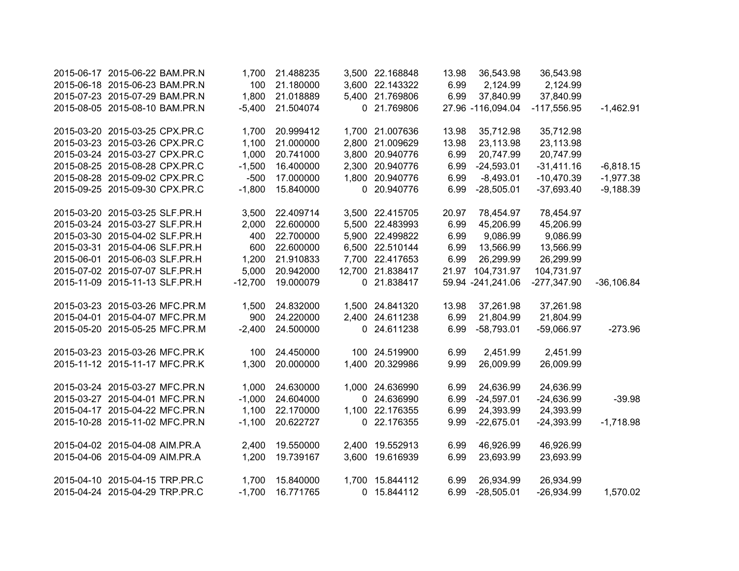| 2015-06-17 2015-06-22 BAM.PR.N | 1,700     | 21.488235 |       | 3,500 22.168848  | 13.98 | 36,543.98         | 36,543.98     |              |
|--------------------------------|-----------|-----------|-------|------------------|-------|-------------------|---------------|--------------|
| 2015-06-18 2015-06-23 BAM.PR.N | 100       | 21.180000 |       | 3,600 22.143322  | 6.99  | 2,124.99          | 2,124.99      |              |
| 2015-07-23 2015-07-29 BAM.PR.N | 1,800     | 21.018889 |       | 5,400 21.769806  | 6.99  | 37,840.99         | 37,840.99     |              |
| 2015-08-05 2015-08-10 BAM.PR.N | $-5,400$  | 21.504074 |       | 0 21.769806      |       | 27.96 -116,094.04 | $-117,556.95$ | $-1,462.91$  |
| 2015-03-20 2015-03-25 CPX.PR.C | 1,700     | 20.999412 |       | 1,700 21.007636  | 13.98 | 35,712.98         | 35,712.98     |              |
| 2015-03-23 2015-03-26 CPX.PR.C | 1,100     | 21.000000 |       | 2,800 21.009629  | 13.98 | 23,113.98         | 23,113.98     |              |
| 2015-03-24 2015-03-27 CPX.PR.C | 1,000     | 20.741000 |       | 3,800 20.940776  | 6.99  | 20,747.99         | 20,747.99     |              |
| 2015-08-25 2015-08-28 CPX.PR.C | $-1,500$  | 16.400000 |       | 2,300 20.940776  | 6.99  | $-24,593.01$      | $-31,411.16$  | $-6,818.15$  |
| 2015-08-28 2015-09-02 CPX.PR.C | $-500$    | 17.000000 |       | 1,800 20.940776  | 6.99  | $-8,493.01$       | $-10,470.39$  | $-1,977.38$  |
| 2015-09-25 2015-09-30 CPX.PR.C | $-1,800$  | 15.840000 |       | 0 20.940776      | 6.99  | $-28,505.01$      | $-37,693.40$  | $-9,188.39$  |
| 2015-03-20 2015-03-25 SLF.PR.H | 3,500     | 22.409714 |       | 3,500 22.415705  | 20.97 | 78,454.97         | 78,454.97     |              |
| 2015-03-24 2015-03-27 SLF.PR.H | 2,000     | 22.600000 |       | 5,500 22.483993  | 6.99  | 45,206.99         | 45,206.99     |              |
| 2015-03-30 2015-04-02 SLF.PR.H | 400       | 22.700000 |       | 5,900 22.499822  | 6.99  | 9,086.99          | 9,086.99      |              |
| 2015-03-31 2015-04-06 SLF.PR.H | 600       | 22.600000 |       | 6,500 22.510144  | 6.99  | 13,566.99         | 13,566.99     |              |
| 2015-06-01 2015-06-03 SLF.PR.H | 1,200     | 21.910833 |       | 7,700 22.417653  | 6.99  | 26,299.99         | 26,299.99     |              |
| 2015-07-02 2015-07-07 SLF.PR.H | 5,000     | 20.942000 |       | 12,700 21.838417 |       | 21.97 104,731.97  | 104,731.97    |              |
| 2015-11-09 2015-11-13 SLF.PR.H | $-12,700$ | 19.000079 |       | 0 21.838417      |       | 59.94 -241,241.06 | $-277,347.90$ | $-36,106.84$ |
| 2015-03-23 2015-03-26 MFC.PR.M | 1,500     | 24.832000 |       | 1,500 24.841320  | 13.98 | 37,261.98         | 37,261.98     |              |
| 2015-04-01 2015-04-07 MFC.PR.M | 900       | 24.220000 |       | 2,400 24.611238  | 6.99  | 21,804.99         | 21,804.99     |              |
| 2015-05-20 2015-05-25 MFC.PR.M | $-2,400$  | 24.500000 |       | 0 24.611238      | 6.99  | $-58,793.01$      | $-59,066.97$  | $-273.96$    |
| 2015-03-23 2015-03-26 MFC.PR.K | 100       | 24.450000 |       | 100 24.519900    | 6.99  | 2,451.99          | 2,451.99      |              |
| 2015-11-12 2015-11-17 MFC.PR.K | 1,300     | 20.000000 |       | 1,400 20.329986  | 9.99  | 26,009.99         | 26,009.99     |              |
| 2015-03-24 2015-03-27 MFC.PR.N | 1,000     | 24.630000 |       | 1,000 24.636990  | 6.99  | 24,636.99         | 24,636.99     |              |
| 2015-03-27 2015-04-01 MFC.PR.N | $-1,000$  | 24.604000 |       | 0 24.636990      | 6.99  | $-24,597.01$      | $-24,636.99$  | $-39.98$     |
| 2015-04-17 2015-04-22 MFC.PR.N | 1,100     | 22.170000 |       | 1,100 22.176355  | 6.99  | 24,393.99         | 24,393.99     |              |
| 2015-10-28 2015-11-02 MFC.PR.N | $-1,100$  | 20.622727 |       | 0 22.176355      | 9.99  | $-22,675.01$      | $-24,393.99$  | $-1,718.98$  |
| 2015-04-02 2015-04-08 AIM.PR.A | 2,400     | 19.550000 |       | 2,400 19.552913  | 6.99  | 46,926.99         | 46,926.99     |              |
| 2015-04-06 2015-04-09 AIM.PR.A | 1,200     | 19.739167 | 3,600 | 19.616939        | 6.99  | 23,693.99         | 23,693.99     |              |
| 2015-04-10 2015-04-15 TRP.PR.C | 1,700     | 15.840000 |       | 1,700 15.844112  | 6.99  | 26,934.99         | 26,934.99     |              |
| 2015-04-24 2015-04-29 TRP.PR.C | $-1,700$  | 16.771765 |       | 0 15.844112      | 6.99  | $-28,505.01$      | $-26,934.99$  | 1,570.02     |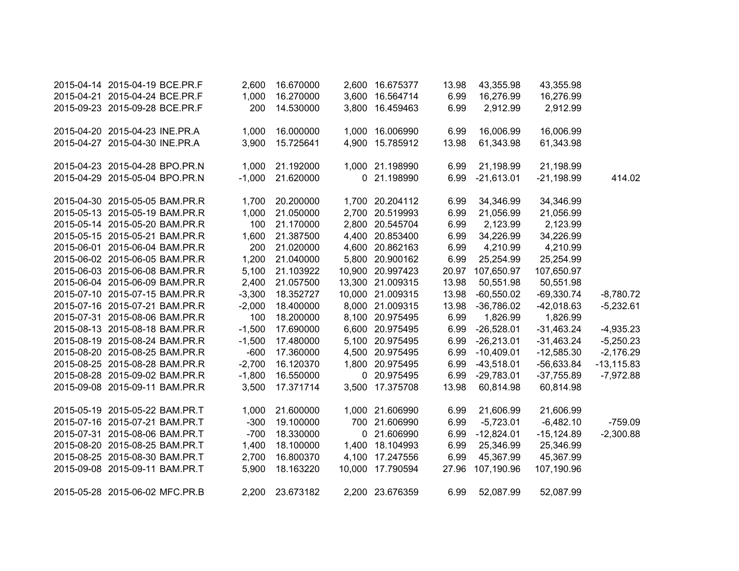| 2015-04-14 2015-04-19 BCE.PR.F | 2,600    | 16.670000 |        | 2,600 16.675377  | 13.98 | 43,355.98    | 43,355.98    |               |
|--------------------------------|----------|-----------|--------|------------------|-------|--------------|--------------|---------------|
| 2015-04-21 2015-04-24 BCE.PR.F | 1,000    | 16.270000 | 3,600  | 16.564714        | 6.99  | 16,276.99    | 16,276.99    |               |
| 2015-09-23 2015-09-28 BCE.PR.F | 200      | 14.530000 |        | 3,800 16.459463  | 6.99  | 2,912.99     | 2,912.99     |               |
| 2015-04-20 2015-04-23 INE.PR.A | 1,000    | 16.000000 |        | 1,000 16.006990  | 6.99  | 16,006.99    | 16,006.99    |               |
| 2015-04-27 2015-04-30 INE.PR.A | 3,900    | 15.725641 | 4,900  | 15.785912        | 13.98 | 61,343.98    | 61,343.98    |               |
| 2015-04-23 2015-04-28 BPO.PR.N | 1,000    | 21.192000 |        | 1,000 21.198990  | 6.99  | 21,198.99    | 21,198.99    |               |
| 2015-04-29 2015-05-04 BPO.PR.N | $-1,000$ | 21.620000 |        | 0 21.198990      | 6.99  | $-21,613.01$ | $-21,198.99$ | 414.02        |
| 2015-04-30 2015-05-05 BAM.PR.R | 1,700    | 20.200000 |        | 1,700 20.204112  | 6.99  | 34,346.99    | 34,346.99    |               |
| 2015-05-13 2015-05-19 BAM.PR.R | 1,000    | 21.050000 |        | 2,700 20.519993  | 6.99  | 21,056.99    | 21,056.99    |               |
| 2015-05-14 2015-05-20 BAM.PR.R | 100      | 21.170000 |        | 2,800 20.545704  | 6.99  | 2,123.99     | 2,123.99     |               |
| 2015-05-15 2015-05-21 BAM.PR.R | 1,600    | 21.387500 |        | 4,400 20.853400  | 6.99  | 34,226.99    | 34,226.99    |               |
| 2015-06-01 2015-06-04 BAM.PR.R | 200      | 21.020000 |        | 4,600 20.862163  | 6.99  | 4,210.99     | 4,210.99     |               |
| 2015-06-02 2015-06-05 BAM.PR.R | 1,200    | 21.040000 |        | 5,800 20.900162  | 6.99  | 25,254.99    | 25,254.99    |               |
| 2015-06-03 2015-06-08 BAM.PR.R | 5,100    | 21.103922 |        | 10,900 20.997423 | 20.97 | 107,650.97   | 107,650.97   |               |
| 2015-06-04 2015-06-09 BAM.PR.R | 2,400    | 21.057500 |        | 13,300 21.009315 | 13.98 | 50,551.98    | 50,551.98    |               |
| 2015-07-10 2015-07-15 BAM.PR.R | $-3,300$ | 18.352727 |        | 10,000 21.009315 | 13.98 | $-60,550.02$ | $-69,330.74$ | $-8,780.72$   |
| 2015-07-16 2015-07-21 BAM.PR.R | $-2,000$ | 18.400000 |        | 8,000 21.009315  | 13.98 | $-36,786.02$ | $-42,018.63$ | $-5,232.61$   |
| 2015-07-31 2015-08-06 BAM.PR.R | 100      | 18.200000 |        | 8,100 20.975495  | 6.99  | 1,826.99     | 1,826.99     |               |
| 2015-08-13 2015-08-18 BAM.PR.R | $-1,500$ | 17.690000 |        | 6,600 20.975495  | 6.99  | $-26,528.01$ | $-31,463.24$ | $-4,935.23$   |
| 2015-08-19 2015-08-24 BAM.PR.R | $-1,500$ | 17.480000 |        | 5,100 20.975495  | 6.99  | $-26,213.01$ | $-31,463.24$ | $-5,250.23$   |
| 2015-08-20 2015-08-25 BAM.PR.R | $-600$   | 17.360000 |        | 4,500 20.975495  | 6.99  | $-10,409.01$ | $-12,585.30$ | $-2,176.29$   |
| 2015-08-25 2015-08-28 BAM.PR.R | $-2,700$ | 16.120370 |        | 1,800 20.975495  | 6.99  | $-43,518.01$ | $-56,633.84$ | $-13, 115.83$ |
| 2015-08-28 2015-09-02 BAM.PR.R | $-1,800$ | 16.550000 |        | 0 20.975495      | 6.99  | $-29,783.01$ | $-37,755.89$ | $-7,972.88$   |
| 2015-09-08 2015-09-11 BAM.PR.R | 3,500    | 17.371714 |        | 3,500 17.375708  | 13.98 | 60,814.98    | 60,814.98    |               |
| 2015-05-19 2015-05-22 BAM.PR.T | 1,000    | 21.600000 |        | 1,000 21.606990  | 6.99  | 21,606.99    | 21,606.99    |               |
| 2015-07-16 2015-07-21 BAM.PR.T | $-300$   | 19.100000 |        | 700 21.606990    | 6.99  | $-5,723.01$  | $-6,482.10$  | $-759.09$     |
| 2015-07-31 2015-08-06 BAM.PR.T | $-700$   | 18.330000 |        | 0 21.606990      | 6.99  | $-12,824.01$ | $-15,124.89$ | $-2,300.88$   |
| 2015-08-20 2015-08-25 BAM.PR.T | 1,400    | 18.100000 |        | 1,400 18.104993  | 6.99  | 25,346.99    | 25,346.99    |               |
| 2015-08-25 2015-08-30 BAM.PR.T | 2,700    | 16.800370 |        | 4,100 17.247556  | 6.99  | 45,367.99    | 45,367.99    |               |
| 2015-09-08 2015-09-11 BAM.PR.T | 5,900    | 18.163220 | 10,000 | 17.790594        | 27.96 | 107,190.96   | 107,190.96   |               |
| 2015-05-28 2015-06-02 MFC.PR.B | 2,200    | 23.673182 |        | 2,200 23.676359  | 6.99  | 52,087.99    | 52,087.99    |               |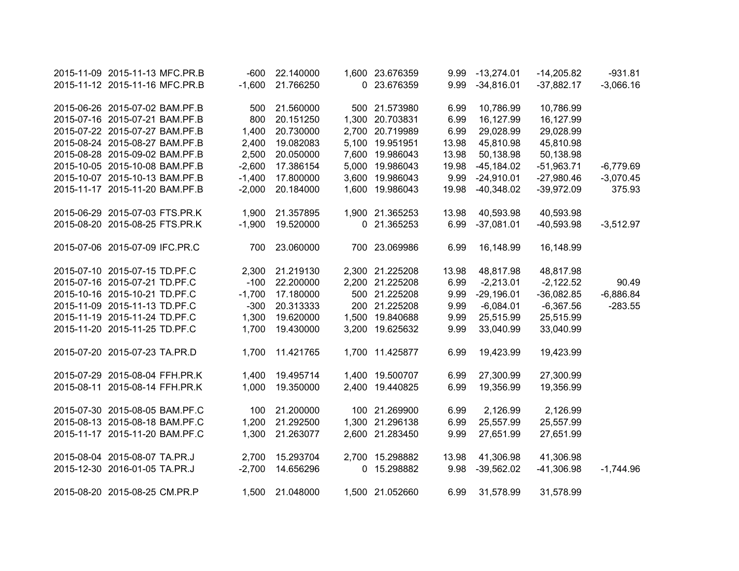| 2015-11-09 2015-11-13 MFC.PR.B | $-600$   | 22.140000     |       | 1,600 23.676359 | 9.99  | $-13,274.01$ | $-14,205.82$ | $-931.81$   |
|--------------------------------|----------|---------------|-------|-----------------|-------|--------------|--------------|-------------|
| 2015-11-12 2015-11-16 MFC.PR.B | $-1,600$ | 21.766250     |       | 0 23.676359     | 9.99  | $-34,816.01$ | $-37,882.17$ | $-3,066.16$ |
| 2015-06-26 2015-07-02 BAM.PF.B | 500      | 21.560000     |       | 500 21.573980   | 6.99  | 10,786.99    | 10,786.99    |             |
| 2015-07-16 2015-07-21 BAM.PF.B | 800      | 20.151250     |       | 1,300 20.703831 | 6.99  | 16,127.99    | 16,127.99    |             |
| 2015-07-22 2015-07-27 BAM.PF.B | 1,400    | 20.730000     | 2,700 | 20.719989       | 6.99  | 29,028.99    | 29,028.99    |             |
| 2015-08-24 2015-08-27 BAM.PF.B | 2,400    | 19.082083     |       | 5,100 19.951951 | 13.98 | 45,810.98    | 45,810.98    |             |
| 2015-08-28 2015-09-02 BAM.PF.B | 2,500    | 20.050000     | 7,600 | 19.986043       | 13.98 | 50,138.98    | 50,138.98    |             |
| 2015-10-05 2015-10-08 BAM.PF.B | $-2,600$ | 17.386154     | 5,000 | 19.986043       | 19.98 | $-45,184.02$ | $-51,963.71$ | $-6,779.69$ |
| 2015-10-07 2015-10-13 BAM.PF.B | $-1,400$ | 17.800000     |       | 3,600 19.986043 | 9.99  | $-24,910.01$ | $-27,980.46$ | $-3,070.45$ |
| 2015-11-17 2015-11-20 BAM.PF.B | $-2,000$ | 20.184000     |       | 1,600 19.986043 | 19.98 | $-40,348.02$ | $-39,972.09$ | 375.93      |
| 2015-06-29 2015-07-03 FTS.PR.K | 1,900    | 21.357895     |       | 1,900 21.365253 | 13.98 | 40,593.98    | 40,593.98    |             |
| 2015-08-20 2015-08-25 FTS.PR.K | $-1,900$ | 19.520000     |       | 0 21.365253     | 6.99  | $-37,081.01$ | $-40,593.98$ | $-3,512.97$ |
| 2015-07-06 2015-07-09 IFC.PR.C |          | 700 23.060000 |       | 700 23.069986   | 6.99  | 16,148.99    | 16,148.99    |             |
| 2015-07-10 2015-07-15 TD.PF.C  | 2,300    | 21.219130     |       | 2,300 21.225208 | 13.98 | 48,817.98    | 48,817.98    |             |
| 2015-07-16 2015-07-21 TD.PF.C  | $-100$   | 22.200000     |       | 2,200 21.225208 | 6.99  | $-2,213.01$  | $-2,122.52$  | 90.49       |
| 2015-10-16 2015-10-21 TD.PF.C  | $-1,700$ | 17.180000     |       | 500 21.225208   | 9.99  | $-29,196.01$ | $-36,082.85$ | $-6,886.84$ |
| 2015-11-09 2015-11-13 TD.PF.C  | $-300$   | 20.313333     |       | 200 21.225208   | 9.99  | $-6,084.01$  | $-6,367.56$  | $-283.55$   |
| 2015-11-19 2015-11-24 TD.PF.C  | 1,300    | 19.620000     |       | 1,500 19.840688 | 9.99  | 25,515.99    | 25,515.99    |             |
| 2015-11-20 2015-11-25 TD.PF.C  | 1,700    | 19.430000     |       | 3,200 19.625632 | 9.99  | 33,040.99    | 33,040.99    |             |
| 2015-07-20 2015-07-23 TA.PR.D  | 1,700    | 11.421765     |       | 1,700 11.425877 | 6.99  | 19,423.99    | 19,423.99    |             |
| 2015-07-29 2015-08-04 FFH.PR.K | 1,400    | 19.495714     |       | 1,400 19.500707 | 6.99  | 27,300.99    | 27,300.99    |             |
| 2015-08-11 2015-08-14 FFH.PR.K | 1,000    | 19.350000     |       | 2,400 19.440825 | 6.99  | 19,356.99    | 19,356.99    |             |
| 2015-07-30 2015-08-05 BAM.PF.C | 100      | 21.200000     |       | 100 21.269900   | 6.99  | 2,126.99     | 2,126.99     |             |
| 2015-08-13 2015-08-18 BAM.PF.C | 1,200    | 21.292500     |       | 1,300 21.296138 | 6.99  | 25,557.99    | 25,557.99    |             |
| 2015-11-17 2015-11-20 BAM.PF.C | 1,300    | 21.263077     |       | 2,600 21.283450 | 9.99  | 27,651.99    | 27,651.99    |             |
| 2015-08-04 2015-08-07 TA.PR.J  | 2,700    | 15.293704     |       | 2,700 15.298882 | 13.98 | 41,306.98    | 41,306.98    |             |
| 2015-12-30 2016-01-05 TA.PR.J  | $-2,700$ | 14.656296     | 0     | 15.298882       | 9.98  | $-39,562.02$ | $-41,306.98$ | $-1,744.96$ |
| 2015-08-20 2015-08-25 CM.PR.P  | 1,500    | 21.048000     |       | 1,500 21.052660 | 6.99  | 31,578.99    | 31,578.99    |             |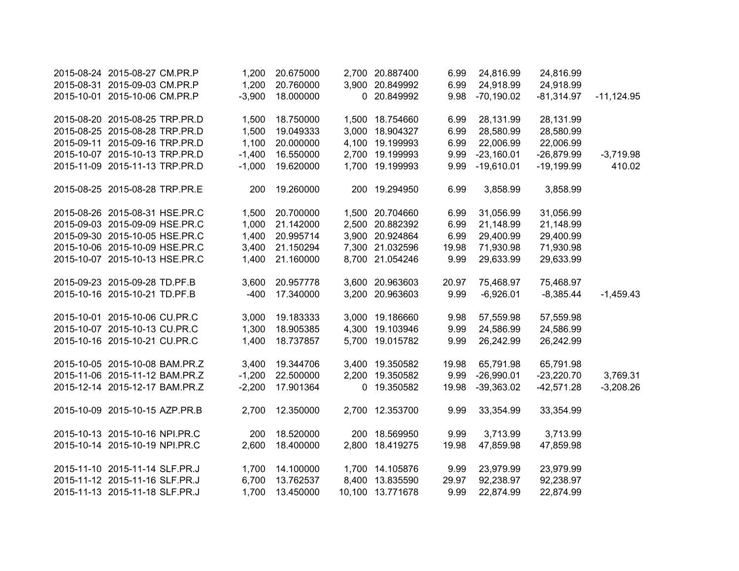| 2015-08-24 2015-08-27 CM.PR.P  | 1,200    | 20.675000 |   | 2,700 20.887400  | 6.99  | 24,816.99    | 24,816.99    |              |
|--------------------------------|----------|-----------|---|------------------|-------|--------------|--------------|--------------|
| 2015-08-31 2015-09-03 CM.PR.P  | 1,200    | 20.760000 |   | 3,900 20.849992  | 6.99  | 24,918.99    | 24,918.99    |              |
| 2015-10-01 2015-10-06 CM.PR.P  | $-3,900$ | 18.000000 |   | 0 20.849992      | 9.98  | $-70,190.02$ | $-81,314.97$ | $-11,124.95$ |
| 2015-08-20 2015-08-25 TRP.PR.D | 1,500    | 18.750000 |   | 1,500 18.754660  | 6.99  | 28,131.99    | 28,131.99    |              |
| 2015-08-25 2015-08-28 TRP.PR.D | 1,500    | 19.049333 |   | 3,000 18.904327  | 6.99  | 28,580.99    | 28,580.99    |              |
| 2015-09-11 2015-09-16 TRP.PR.D | 1,100    | 20.000000 |   | 4,100 19.199993  | 6.99  | 22,006.99    | 22,006.99    |              |
| 2015-10-07 2015-10-13 TRP.PR.D | $-1,400$ | 16.550000 |   | 2,700 19.199993  | 9.99  | $-23,160.01$ | $-26,879.99$ | $-3,719.98$  |
| 2015-11-09 2015-11-13 TRP.PR.D | $-1,000$ | 19.620000 |   | 1,700 19.199993  | 9.99  | $-19,610.01$ | $-19,199.99$ | 410.02       |
| 2015-08-25 2015-08-28 TRP.PR.E | 200      | 19.260000 |   | 200 19.294950    | 6.99  | 3,858.99     | 3,858.99     |              |
| 2015-08-26 2015-08-31 HSE.PR.C | 1,500    | 20.700000 |   | 1,500 20.704660  | 6.99  | 31,056.99    | 31,056.99    |              |
| 2015-09-03 2015-09-09 HSE.PR.C | 1,000    | 21.142000 |   | 2,500 20.882392  | 6.99  | 21,148.99    | 21,148.99    |              |
| 2015-09-30 2015-10-05 HSE.PR.C | 1,400    | 20.995714 |   | 3,900 20.924864  | 6.99  | 29,400.99    | 29,400.99    |              |
| 2015-10-06 2015-10-09 HSE.PR.C | 3,400    | 21.150294 |   | 7,300 21.032596  | 19.98 | 71,930.98    | 71,930.98    |              |
| 2015-10-07 2015-10-13 HSE.PR.C | 1,400    | 21.160000 |   | 8,700 21.054246  | 9.99  | 29,633.99    | 29,633.99    |              |
| 2015-09-23 2015-09-28 TD.PF.B  | 3,600    | 20.957778 |   | 3,600 20.963603  | 20.97 | 75,468.97    | 75,468.97    |              |
| 2015-10-16 2015-10-21 TD.PF.B  | $-400$   | 17.340000 |   | 3,200 20.963603  | 9.99  | $-6,926.01$  | $-8,385.44$  | $-1,459.43$  |
| 2015-10-01 2015-10-06 CU.PR.C  | 3,000    | 19.183333 |   | 3,000 19.186660  | 9.98  | 57,559.98    | 57,559.98    |              |
| 2015-10-07 2015-10-13 CU.PR.C  | 1,300    | 18.905385 |   | 4,300 19.103946  | 9.99  | 24,586.99    | 24,586.99    |              |
| 2015-10-16 2015-10-21 CU.PR.C  | 1,400    | 18.737857 |   | 5,700 19.015782  | 9.99  | 26,242.99    | 26,242.99    |              |
| 2015-10-05 2015-10-08 BAM.PR.Z | 3,400    | 19.344706 |   | 3,400 19.350582  | 19.98 | 65,791.98    | 65,791.98    |              |
| 2015-11-06 2015-11-12 BAM.PR.Z | $-1,200$ | 22.500000 |   | 2,200 19.350582  | 9.99  | $-26,990.01$ | $-23,220.70$ | 3,769.31     |
| 2015-12-14 2015-12-17 BAM.PR.Z | $-2,200$ | 17.901364 | 0 | 19.350582        | 19.98 | $-39,363.02$ | $-42,571.28$ | $-3,208.26$  |
| 2015-10-09 2015-10-15 AZP.PR.B | 2,700    | 12.350000 |   | 2,700 12.353700  | 9.99  | 33,354.99    | 33,354.99    |              |
| 2015-10-13 2015-10-16 NPI.PR.C | 200      | 18.520000 |   | 200 18.569950    | 9.99  | 3,713.99     | 3,713.99     |              |
| 2015-10-14 2015-10-19 NPI.PR.C | 2,600    | 18.400000 |   | 2,800 18.419275  | 19.98 | 47,859.98    | 47,859.98    |              |
| 2015-11-10 2015-11-14 SLF.PR.J | 1,700    | 14.100000 |   | 1,700 14.105876  | 9.99  | 23,979.99    | 23,979.99    |              |
| 2015-11-12 2015-11-16 SLF.PR.J | 6,700    | 13.762537 |   | 8,400 13.835590  | 29.97 | 92,238.97    | 92,238.97    |              |
| 2015-11-13 2015-11-18 SLF.PR.J | 1,700    | 13.450000 |   | 10,100 13.771678 | 9.99  | 22,874.99    | 22,874.99    |              |